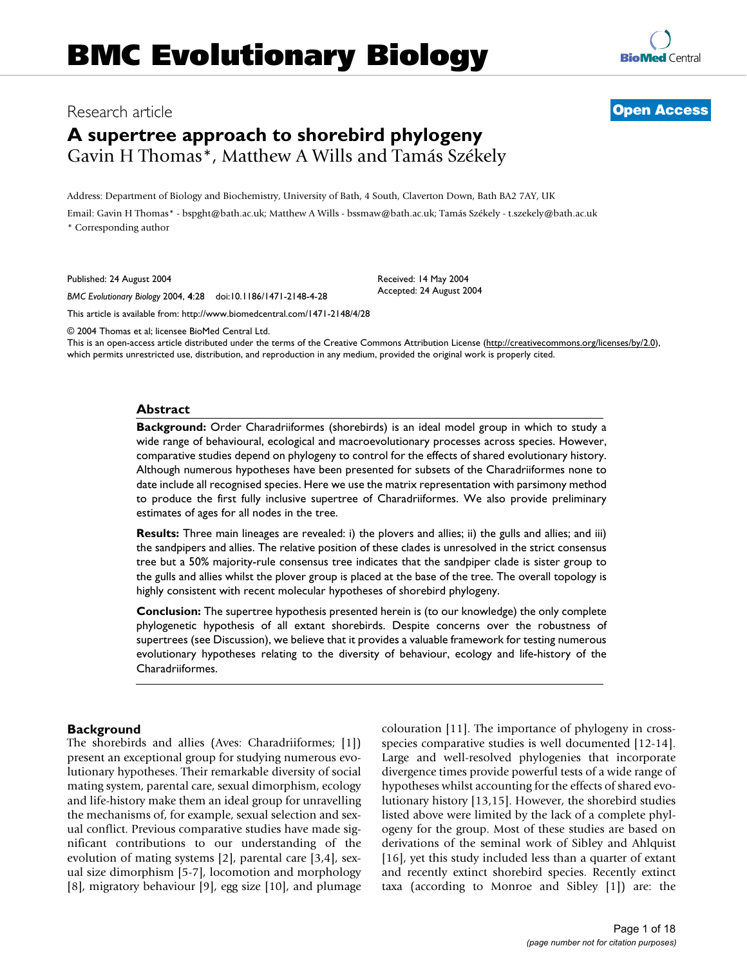# Research article **[Open Access](http://www.biomedcentral.com/info/about/charter/)**

# **A supertree approach to shorebird phylogeny** Gavin H Thomas\*, Matthew A Wills and Tamás Székely

Address: Department of Biology and Biochemistry, University of Bath, 4 South, Claverton Down, Bath BA2 7AY, UK Email: Gavin H Thomas\* - bspght@bath.ac.uk; Matthew A Wills - bssmaw@bath.ac.uk; Tamás Székely - t.szekely@bath.ac.uk \* Corresponding author

Published: 24 August 2004

*BMC Evolutionary Biology* 2004, **4**:28 doi:10.1186/1471-2148-4-28

[This article is available from: http://www.biomedcentral.com/1471-2148/4/28](http://www.biomedcentral.com/1471-2148/4/28)

© 2004 Thomas et al; licensee BioMed Central Ltd.

This is an open-access article distributed under the terms of the Creative Commons Attribution License (<http://creativecommons.org/licenses/by/2.0>), which permits unrestricted use, distribution, and reproduction in any medium, provided the original work is properly cited.

Received: 14 May 2004 Accepted: 24 August 2004

#### **Abstract**

**Background:** Order Charadriiformes (shorebirds) is an ideal model group in which to study a wide range of behavioural, ecological and macroevolutionary processes across species. However, comparative studies depend on phylogeny to control for the effects of shared evolutionary history. Although numerous hypotheses have been presented for subsets of the Charadriiformes none to date include all recognised species. Here we use the matrix representation with parsimony method to produce the first fully inclusive supertree of Charadriiformes. We also provide preliminary estimates of ages for all nodes in the tree.

**Results:** Three main lineages are revealed: i) the plovers and allies; ii) the gulls and allies; and iii) the sandpipers and allies. The relative position of these clades is unresolved in the strict consensus tree but a 50% majority-rule consensus tree indicates that the sandpiper clade is sister group to the gulls and allies whilst the plover group is placed at the base of the tree. The overall topology is highly consistent with recent molecular hypotheses of shorebird phylogeny.

**Conclusion:** The supertree hypothesis presented herein is (to our knowledge) the only complete phylogenetic hypothesis of all extant shorebirds. Despite concerns over the robustness of supertrees (see Discussion), we believe that it provides a valuable framework for testing numerous evolutionary hypotheses relating to the diversity of behaviour, ecology and life-history of the Charadriiformes.

#### **Background**

The shorebirds and allies (Aves: Charadriiformes; [1]) present an exceptional group for studying numerous evolutionary hypotheses. Their remarkable diversity of social mating system, parental care, sexual dimorphism, ecology and life-history make them an ideal group for unravelling the mechanisms of, for example, sexual selection and sexual conflict. Previous comparative studies have made significant contributions to our understanding of the evolution of mating systems [2], parental care [3,4], sexual size dimorphism [5-7], locomotion and morphology [8], migratory behaviour [9], egg size [10], and plumage colouration [11]. The importance of phylogeny in crossspecies comparative studies is well documented [12-14]. Large and well-resolved phylogenies that incorporate divergence times provide powerful tests of a wide range of hypotheses whilst accounting for the effects of shared evolutionary history [13,15]. However, the shorebird studies listed above were limited by the lack of a complete phylogeny for the group. Most of these studies are based on derivations of the seminal work of Sibley and Ahlquist [16], yet this study included less than a quarter of extant and recently extinct shorebird species. Recently extinct taxa (according to Monroe and Sibley [1]) are: the

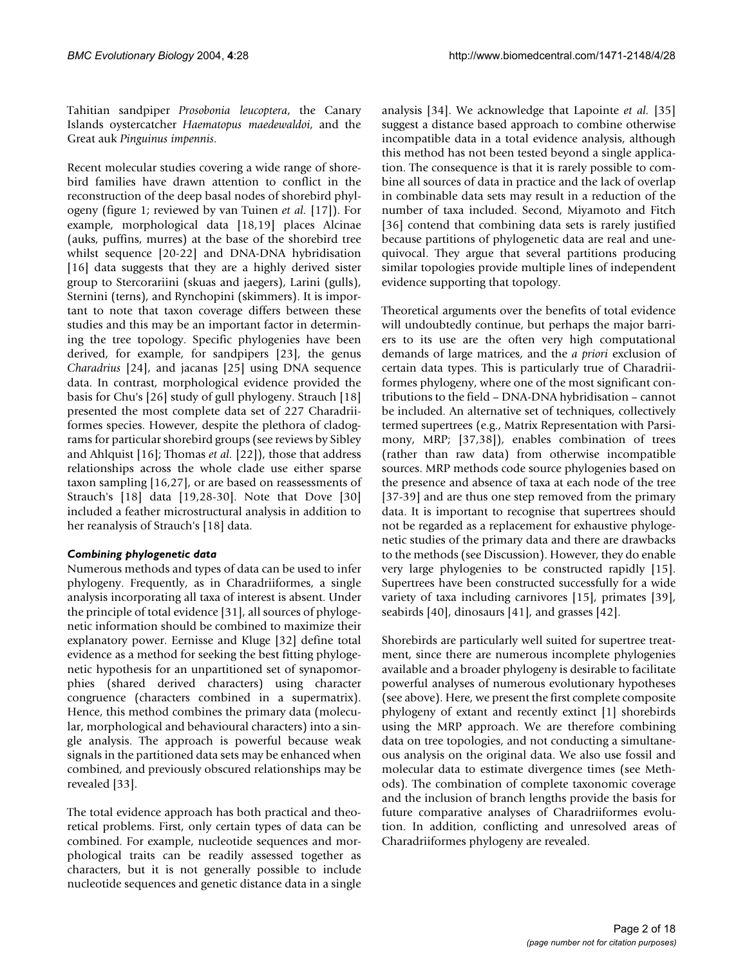Tahitian sandpiper *Prosobonia leucoptera*, the Canary Islands oystercatcher *Haematopus maedewaldoi*, and the Great auk *Pinguinus impennis*.

Recent molecular studies covering a wide range of shorebird families have drawn attention to conflict in the reconstruction of the deep basal nodes of shorebird phylogeny (figure 1; reviewed by van Tuinen *et al.* [17]). For example, morphological data [18,19] places Alcinae (auks, puffins, murres) at the base of the shorebird tree whilst sequence [20[-22](#page-15-0)] and DNA-DNA hybridisation [16] data suggests that they are a highly derived sister group to Stercorariini (skuas and jaegers), Larini (gulls), Sternini (terns), and Rynchopini (skimmers). It is important to note that taxon coverage differs between these studies and this may be an important factor in determining the tree topology. Specific phylogenies have been derived, for example, for sandpipers [23], the genus *Charadrius* [[24\]](#page-15-1), and jacanas [25] using DNA sequence data. In contrast, morphological evidence provided the basis for Chu's [26] study of gull phylogeny. Strauch [18] presented the most complete data set of 227 Charadriiformes species. However, despite the plethora of cladograms for particular shorebird groups (see reviews by Sibley and Ahlquist [16]; Thomas *et al.* [[22\]](#page-15-0)), those that address relationships across the whole clade use either sparse taxon sampling [16,27], or are based on reassessments of Strauch's [18] data [19,28-30]. Note that Dove [30] included a feather microstructural analysis in addition to her reanalysis of Strauch's [18] data.

## *Combining phylogenetic data*

Numerous methods and types of data can be used to infer phylogeny. Frequently, as in Charadriiformes, a single analysis incorporating all taxa of interest is absent. Under the principle of total evidence [31], all sources of phylogenetic information should be combined to maximize their explanatory power. Eernisse and Kluge [32] define total evidence as a method for seeking the best fitting phylogenetic hypothesis for an unpartitioned set of synapomorphies (shared derived characters) using character congruence (characters combined in a supermatrix). Hence, this method combines the primary data (molecular, morphological and behavioural characters) into a single analysis. The approach is powerful because weak signals in the partitioned data sets may be enhanced when combined, and previously obscured relationships may be revealed [33].

The total evidence approach has both practical and theoretical problems. First, only certain types of data can be combined. For example, nucleotide sequences and morphological traits can be readily assessed together as characters, but it is not generally possible to include nucleotide sequences and genetic distance data in a single

analysis [34]. We acknowledge that Lapointe *et al.* [35] suggest a distance based approach to combine otherwise incompatible data in a total evidence analysis, although this method has not been tested beyond a single application. The consequence is that it is rarely possible to combine all sources of data in practice and the lack of overlap in combinable data sets may result in a reduction of the number of taxa included. Second, Miyamoto and Fitch [36] contend that combining data sets is rarely justified because partitions of phylogenetic data are real and unequivocal. They argue that several partitions producing similar topologies provide multiple lines of independent evidence supporting that topology.

Theoretical arguments over the benefits of total evidence will undoubtedly continue, but perhaps the major barriers to its use are the often very high computational demands of large matrices, and the *a priori* exclusion of certain data types. This is particularly true of Charadriiformes phylogeny, where one of the most significant contributions to the field – DNA-DNA hybridisation – cannot be included. An alternative set of techniques, collectively termed supertrees (e.g., Matrix Representation with Parsimony, MRP; [37,38]), enables combination of trees (rather than raw data) from otherwise incompatible sources. MRP methods code source phylogenies based on the presence and absence of taxa at each node of the tree [37-39] and are thus one step removed from the primary data. It is important to recognise that supertrees should not be regarded as a replacement for exhaustive phylogenetic studies of the primary data and there are drawbacks to the methods (see Discussion). However, they do enable very large phylogenies to be constructed rapidly [15]. Supertrees have been constructed successfully for a wide variety of taxa including carnivores [15], primates [39], seabirds [40], dinosaurs [41], and grasses [42].

Shorebirds are particularly well suited for supertree treatment, since there are numerous incomplete phylogenies available and a broader phylogeny is desirable to facilitate powerful analyses of numerous evolutionary hypotheses (see above). Here, we present the first complete composite phylogeny of extant and recently extinct [1] shorebirds using the MRP approach. We are therefore combining data on tree topologies, and not conducting a simultaneous analysis on the original data. We also use fossil and molecular data to estimate divergence times (see Methods). The combination of complete taxonomic coverage and the inclusion of branch lengths provide the basis for future comparative analyses of Charadriiformes evolution. In addition, conflicting and unresolved areas of Charadriiformes phylogeny are revealed.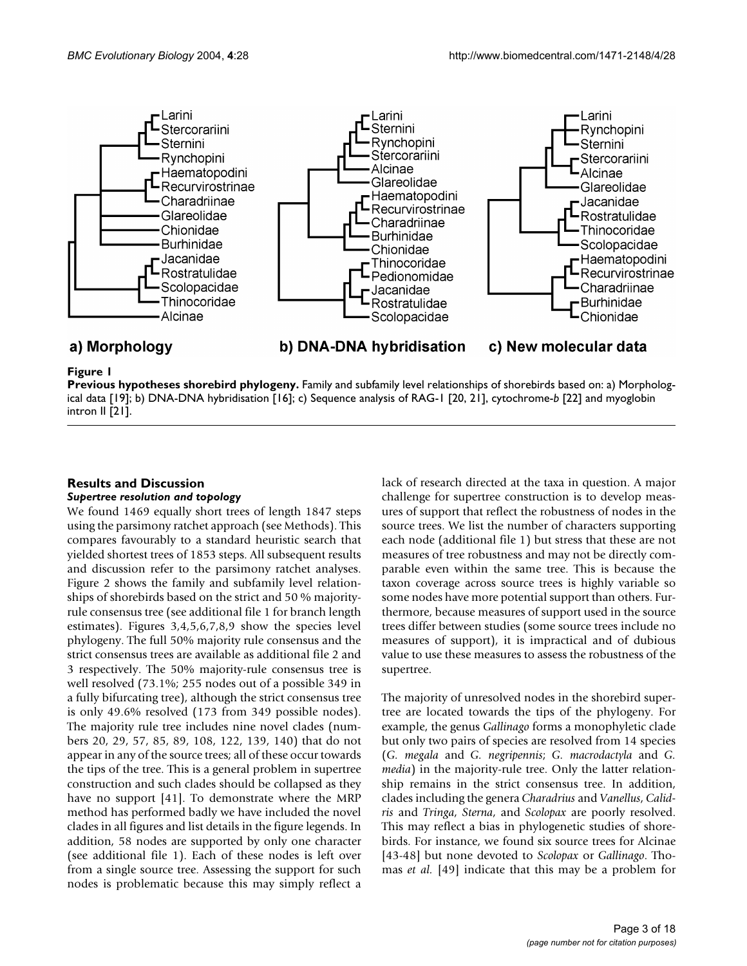

**Previous hypotheses shorebird phylogeny.** Family and subfamily level relationships of shorebirds based on: a) Morphological data [19]; b) DNA-DNA hybridisation [16]; c) Sequence analysis of RAG-1 [20, 21], cytochrome-*b* [22] and myoglobin intron II [21].

#### **Results and Discussion** *Supertree resolution and topology*

We found 1469 equally short trees of length 1847 steps using the parsimony ratchet approach (see Methods). This compares favourably to a standard heuristic search that yielded shortest trees of 1853 steps. All subsequent results and discussion refer to the parsimony ratchet analyses. Figure [2](#page-3-0) shows the family and subfamily level relationships of shorebirds based on the strict and 50 % majorityrule consensus tree (see additional file 1 for branch length estimates). Figures [3](#page-4-0),[4](#page-5-0),[5](#page-6-0),[6](#page-7-0)[,7](#page-8-0)[,8](#page-9-0)[,9](#page-10-0) show the species level phylogeny. The full 50% majority rule consensus and the strict consensus trees are available as additional file 2 and 3 respectively. The 50% majority-rule consensus tree is well resolved (73.1%; 255 nodes out of a possible 349 in a fully bifurcating tree), although the strict consensus tree is only 49.6% resolved (173 from 349 possible nodes). The majority rule tree includes nine novel clades (numbers 20, 29, 57, 85, 89, 108, 122, 139, 140) that do not appear in any of the source trees; all of these occur towards the tips of the tree. This is a general problem in supertree construction and such clades should be collapsed as they have no support [41]. To demonstrate where the MRP method has performed badly we have included the novel clades in all figures and list details in the figure legends. In addition, 58 nodes are supported by only one character (see additional file 1). Each of these nodes is left over from a single source tree. Assessing the support for such nodes is problematic because this may simply reflect a

lack of research directed at the taxa in question. A major challenge for supertree construction is to develop measures of support that reflect the robustness of nodes in the source trees. We list the number of characters supporting each node (additional file 1) but stress that these are not measures of tree robustness and may not be directly comparable even within the same tree. This is because the taxon coverage across source trees is highly variable so some nodes have more potential support than others. Furthermore, because measures of support used in the source trees differ between studies (some source trees include no measures of support), it is impractical and of dubious value to use these measures to assess the robustness of the supertree.

The majority of unresolved nodes in the shorebird supertree are located towards the tips of the phylogeny. For example, the genus *Gallinago* forms a monophyletic clade but only two pairs of species are resolved from 14 species (*G. megala* and *G. negripennis*; *G. macrodactyla* and *G. media*) in the majority-rule tree. Only the latter relationship remains in the strict consensus tree. In addition, clades including the genera *Charadrius* and *Vanellus*, *Calidris* and *Tringa*, *Sterna*, and *Scolopax* are poorly resolved. This may reflect a bias in phylogenetic studies of shorebirds. For instance, we found six source trees for Alcinae [43-48] but none devoted to *Scolopax* or *Gallinago*. Thomas *et al.* [49] indicate that this may be a problem for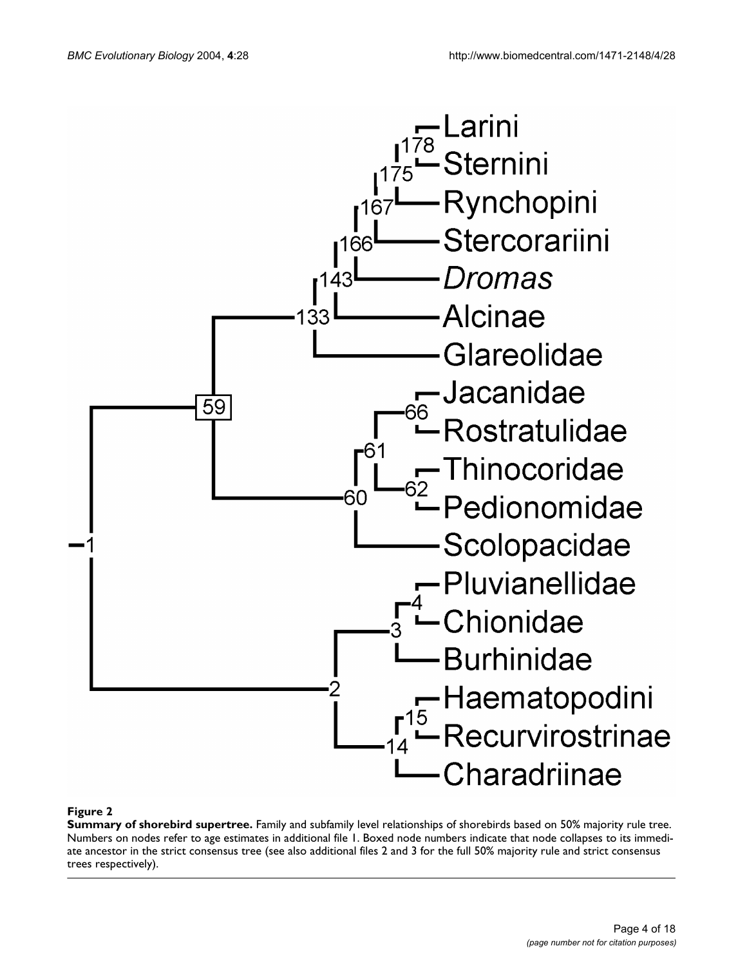<span id="page-3-0"></span>![](_page_3_Figure_2.jpeg)

**Summary of shorebird supertree.** Family and subfamily level relationships of shorebirds based on 50% majority rule tree. Numbers on nodes refer to age estimates in additional file 1. Boxed node numbers indicate that node collapses to its immediate ancestor in the strict consensus tree (see also additional files 2 and 3 for the full 50% majority rule and strict consensus trees respectively).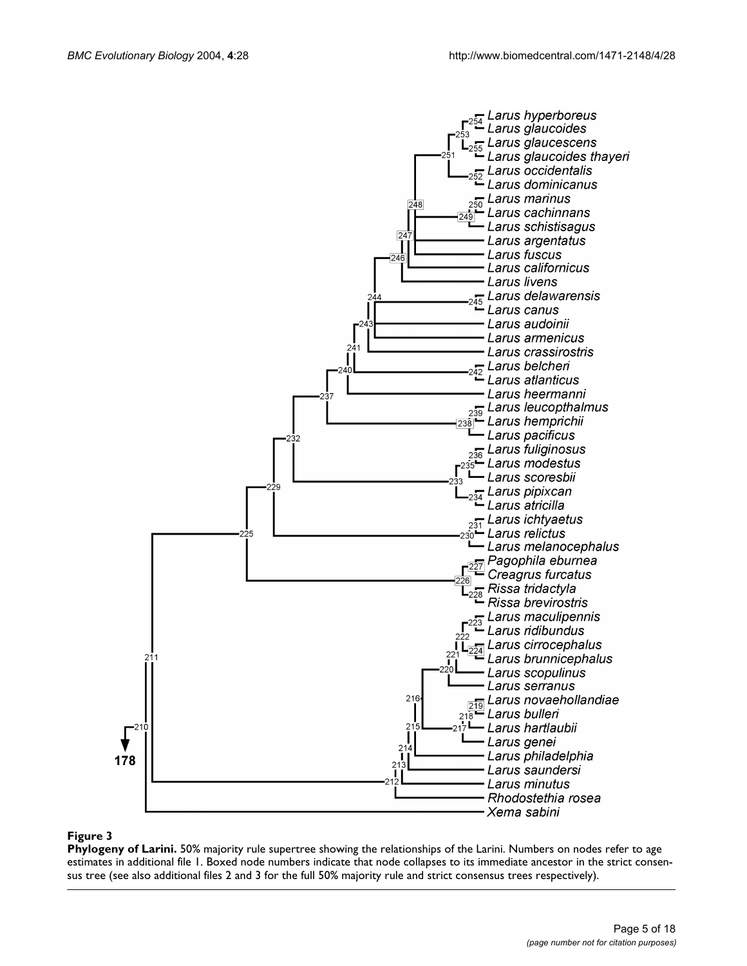<span id="page-4-0"></span>![](_page_4_Figure_2.jpeg)

**Phylogeny of Larini.** 50% majority rule supertree showing the relationships of the Larini. Numbers on nodes refer to age estimates in additional file 1. Boxed node numbers indicate that node collapses to its immediate ancestor in the strict consensus tree (see also additional files 2 and 3 for the full 50% majority rule and strict consensus trees respectively).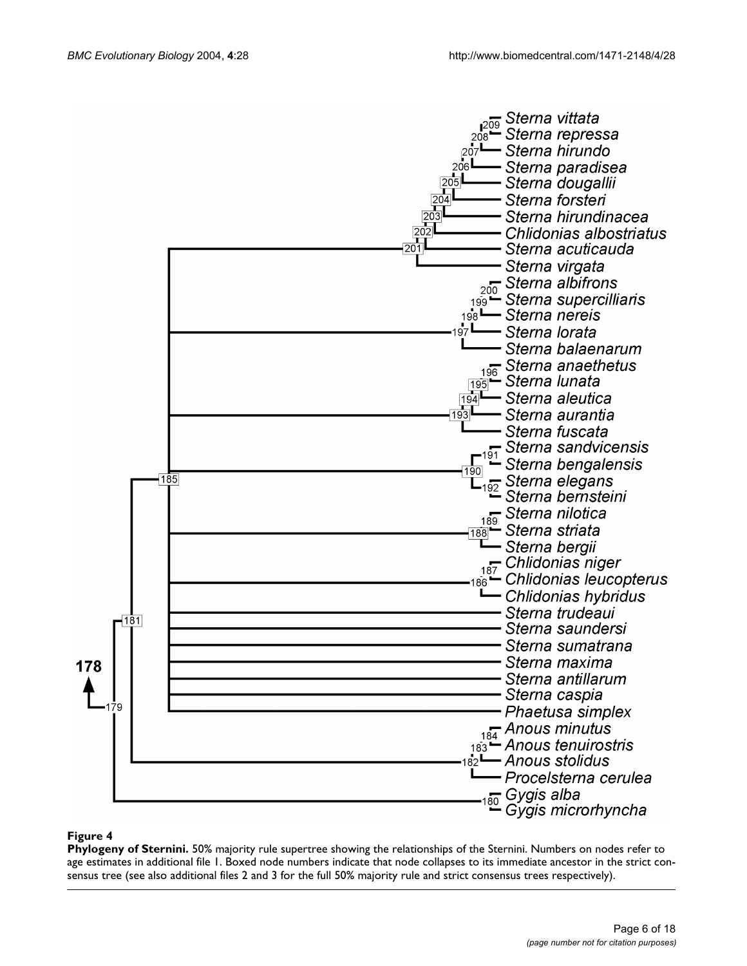<span id="page-5-0"></span>![](_page_5_Figure_2.jpeg)

**Phylogeny of Sternini.** 50% majority rule supertree showing the relationships of the Sternini. Numbers on nodes refer to age estimates in additional file 1. Boxed node numbers indicate that node collapses to its immediate ancestor in the strict consensus tree (see also additional files 2 and 3 for the full 50% majority rule and strict consensus trees respectively).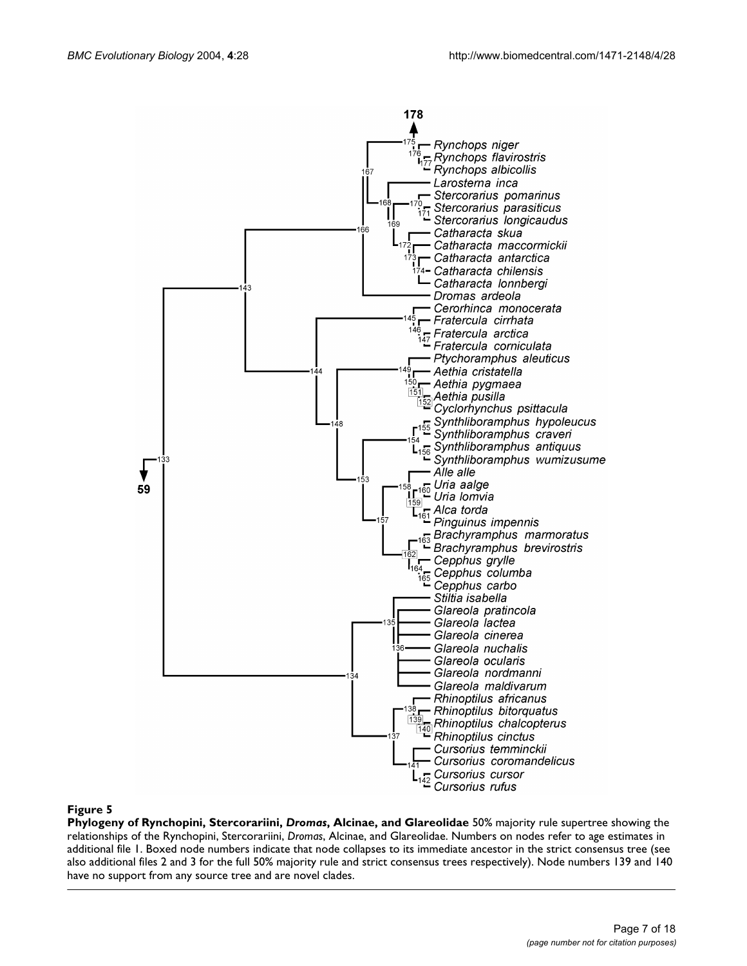<span id="page-6-0"></span>![](_page_6_Figure_2.jpeg)

**Phylogeny of Rynchopini, Stercorariini,** *Dromas***, Alcinae, and Glareolidae** 50% majority rule supertree showing the relationships of the Rynchopini, Stercorariini, *Dromas*, Alcinae, and Glareolidae. Numbers on nodes refer to age estimates in additional file 1. Boxed node numbers indicate that node collapses to its immediate ancestor in the strict consensus tree (see also additional files 2 and 3 for the full 50% majority rule and strict consensus trees respectively). Node numbers 139 and 140 have no support from any source tree and are novel clades.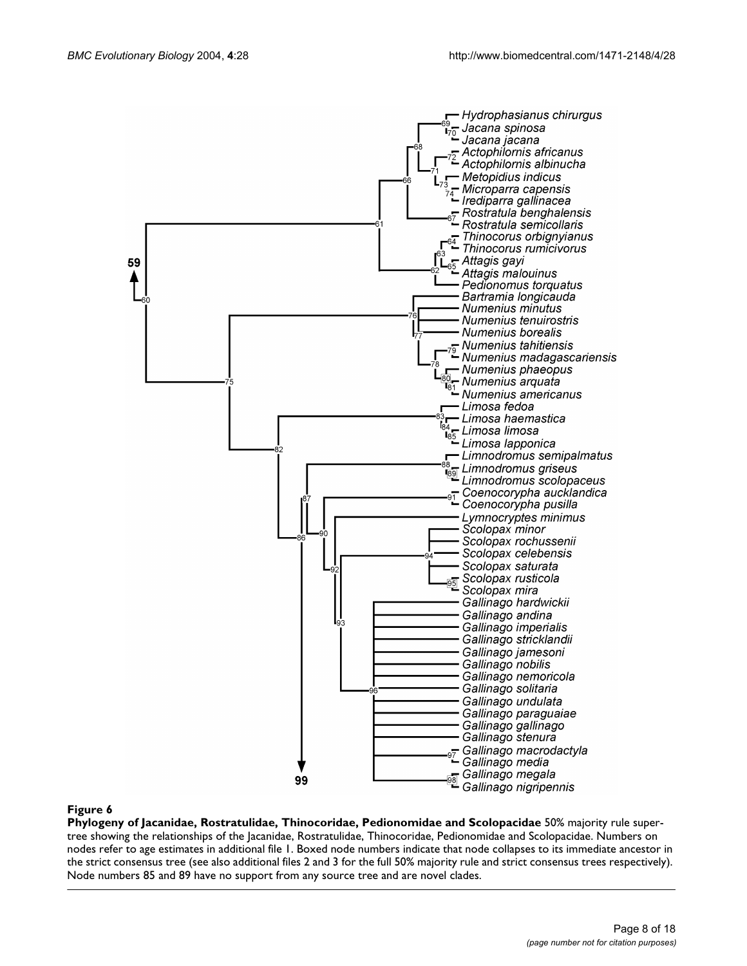<span id="page-7-0"></span>![](_page_7_Figure_2.jpeg)

#### Phylogeny of Jacanidae, Rostratulidae, Th **Figure 6** inocoridae, Pedionomidae and Scolopacidae

**Phylogeny of Jacanidae, Rostratulidae, Thinocoridae, Pedionomidae and Scolopacidae** 50% majority rule supertree showing the relationships of the Jacanidae, Rostratulidae, Thinocoridae, Pedionomidae and Scolopacidae. Numbers on nodes refer to age estimates in additional file 1. Boxed node numbers indicate that node collapses to its immediate ancestor in the strict consensus tree (see also additional files 2 and 3 for the full 50% majority rule and strict consensus trees respectively). Node numbers 85 and 89 have no support from any source tree and are novel clades.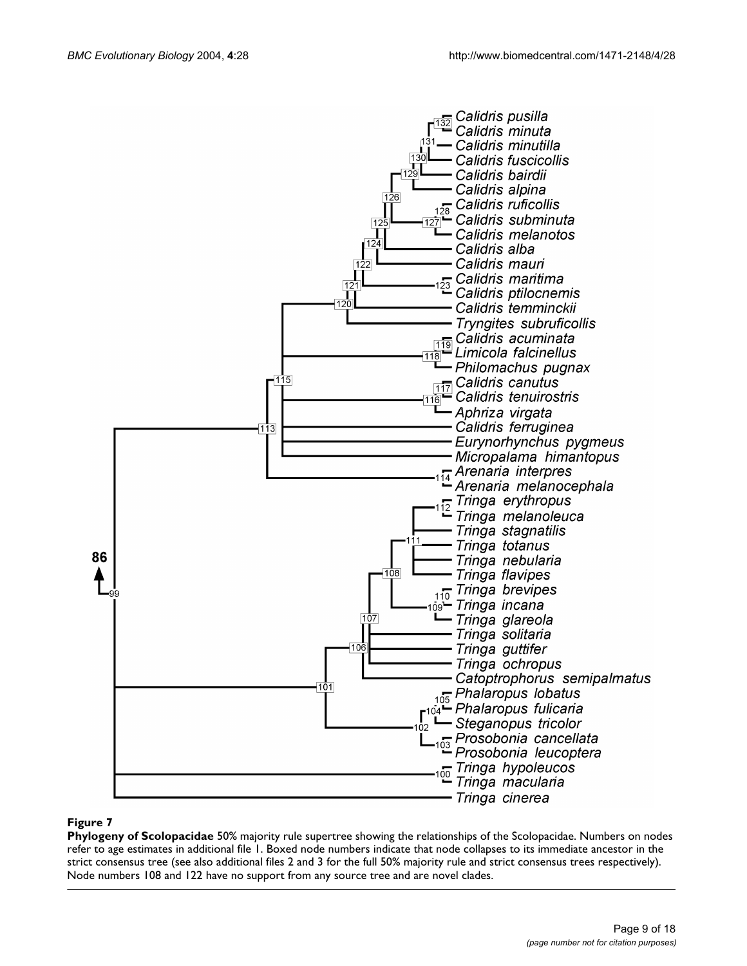<span id="page-8-0"></span>![](_page_8_Figure_2.jpeg)

**Phylogeny of Scolopacidae** 50% majority rule supertree showing the relationships of the Scolopacidae. Numbers on nodes refer to age estimates in additional file 1. Boxed node numbers indicate that node collapses to its immediate ancestor in the strict consensus tree (see also additional files 2 and 3 for the full 50% majority rule and strict consensus trees respectively). Node numbers 108 and 122 have no support from any source tree and are novel clades.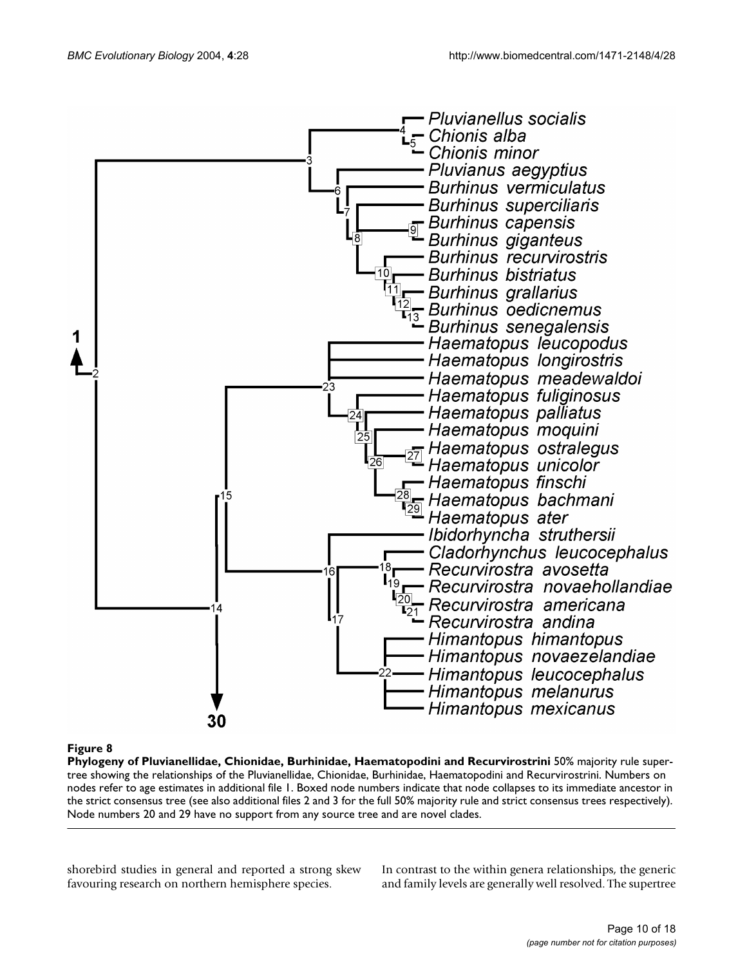<span id="page-9-0"></span>![](_page_9_Figure_2.jpeg)

# Phylogeny of Pluvianellidae, Chionidae, Bu **Figure 8** rhinidae, Haematopodini and Recurvirostrini

**Phylogeny of Pluvianellidae, Chionidae, Burhinidae, Haematopodini and Recurvirostrini** 50% majority rule supertree showing the relationships of the Pluvianellidae, Chionidae, Burhinidae, Haematopodini and Recurvirostrini. Numbers on nodes refer to age estimates in additional file 1. Boxed node numbers indicate that node collapses to its immediate ancestor in the strict consensus tree (see also additional files 2 and 3 for the full 50% majority rule and strict consensus trees respectively). Node numbers 20 and 29 have no support from any source tree and are novel clades.

shorebird studies in general and reported a strong skew favouring research on northern hemisphere species.

In contrast to the within genera relationships, the generic and family levels are generally well resolved. The supertree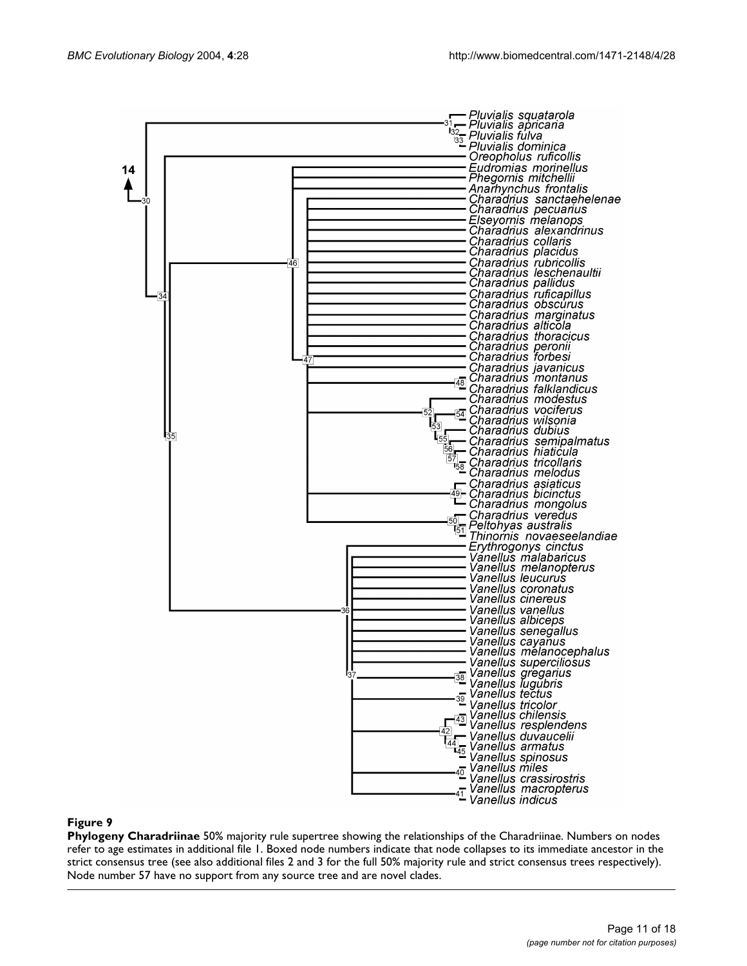<span id="page-10-0"></span>![](_page_10_Figure_2.jpeg)

**Phylogeny Charadriinae** 50% majority rule supertree showing the relationships of the Charadriinae. Numbers on nodes refer to age estimates in additional file 1. Boxed node numbers indicate that node collapses to its immediate ancestor in the strict consensus tree (see also additional files 2 and 3 for the full 50% majority rule and strict consensus trees respectively). Node number 57 have no support from any source tree and are novel clades.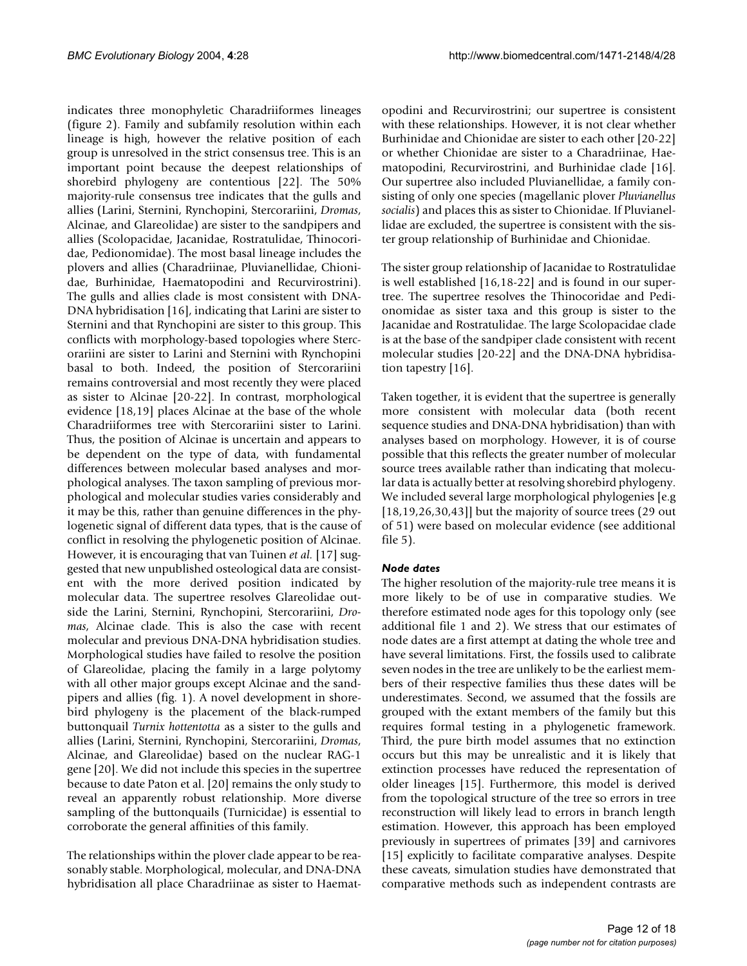indicates three monophyletic Charadriiformes lineages (figure [2](#page-3-0)). Family and subfamily resolution within each lineage is high, however the relative position of each group is unresolved in the strict consensus tree. This is an important point because the deepest relationships of shorebird phylogeny are contentious [\[22](#page-15-0)]. The 50% majority-rule consensus tree indicates that the gulls and allies (Larini, Sternini, Rynchopini, Stercorariini, *Dromas*, Alcinae, and Glareolidae) are sister to the sandpipers and allies (Scolopacidae, Jacanidae, Rostratulidae, Thinocoridae, Pedionomidae). The most basal lineage includes the plovers and allies (Charadriinae, Pluvianellidae, Chionidae, Burhinidae, Haematopodini and Recurvirostrini). The gulls and allies clade is most consistent with DNA-DNA hybridisation [16], indicating that Larini are sister to Sternini and that Rynchopini are sister to this group. This conflicts with morphology-based topologies where Stercorariini are sister to Larini and Sternini with Rynchopini basal to both. Indeed, the position of Stercorariini remains controversial and most recently they were placed as sister to Alcinae [20[-22\]](#page-15-0). In contrast, morphological evidence [18,19] places Alcinae at the base of the whole Charadriiformes tree with Stercorariini sister to Larini. Thus, the position of Alcinae is uncertain and appears to be dependent on the type of data, with fundamental differences between molecular based analyses and morphological analyses. The taxon sampling of previous morphological and molecular studies varies considerably and it may be this, rather than genuine differences in the phylogenetic signal of different data types, that is the cause of conflict in resolving the phylogenetic position of Alcinae. However, it is encouraging that van Tuinen *et al.* [17] suggested that new unpublished osteological data are consistent with the more derived position indicated by molecular data. The supertree resolves Glareolidae outside the Larini, Sternini, Rynchopini, Stercorariini, *Dromas*, Alcinae clade. This is also the case with recent molecular and previous DNA-DNA hybridisation studies. Morphological studies have failed to resolve the position of Glareolidae, placing the family in a large polytomy with all other major groups except Alcinae and the sandpipers and allies (fig. 1). A novel development in shorebird phylogeny is the placement of the black-rumped buttonquail *Turnix hottentotta* as a sister to the gulls and allies (Larini, Sternini, Rynchopini, Stercorariini, *Dromas*, Alcinae, and Glareolidae) based on the nuclear RAG-1 gene [20]. We did not include this species in the supertree because to date Paton et al. [20] remains the only study to reveal an apparently robust relationship. More diverse sampling of the buttonquails (Turnicidae) is essential to corroborate the general affinities of this family.

The relationships within the plover clade appear to be reasonably stable. Morphological, molecular, and DNA-DNA hybridisation all place Charadriinae as sister to Haematopodini and Recurvirostrini; our supertree is consistent with these relationships. However, it is not clear whether Burhinidae and Chionidae are sister to each other [20-[22\]](#page-15-0) or whether Chionidae are sister to a Charadriinae, Haematopodini, Recurvirostrini, and Burhinidae clade [16]. Our supertree also included Pluvianellidae, a family consisting of only one species (magellanic plover *Pluvianellus socialis*) and places this as sister to Chionidae. If Pluvianellidae are excluded, the supertree is consistent with the sister group relationship of Burhinidae and Chionidae.

The sister group relationship of Jacanidae to Rostratulidae is well established [16,18[-22\]](#page-15-0) and is found in our supertree. The supertree resolves the Thinocoridae and Pedionomidae as sister taxa and this group is sister to the Jacanidae and Rostratulidae. The large Scolopacidae clade is at the base of the sandpiper clade consistent with recent molecular studies [20-[22\]](#page-15-0) and the DNA-DNA hybridisation tapestry [16].

Taken together, it is evident that the supertree is generally more consistent with molecular data (both recent sequence studies and DNA-DNA hybridisation) than with analyses based on morphology. However, it is of course possible that this reflects the greater number of molecular source trees available rather than indicating that molecular data is actually better at resolving shorebird phylogeny. We included several large morphological phylogenies [e.g [18,19,26,30,43]] but the majority of source trees (29 out) of 51) were based on molecular evidence (see additional file 5).

## *Node dates*

The higher resolution of the majority-rule tree means it is more likely to be of use in comparative studies. We therefore estimated node ages for this topology only (see additional file 1 and 2). We stress that our estimates of node dates are a first attempt at dating the whole tree and have several limitations. First, the fossils used to calibrate seven nodes in the tree are unlikely to be the earliest members of their respective families thus these dates will be underestimates. Second, we assumed that the fossils are grouped with the extant members of the family but this requires formal testing in a phylogenetic framework. Third, the pure birth model assumes that no extinction occurs but this may be unrealistic and it is likely that extinction processes have reduced the representation of older lineages [15]. Furthermore, this model is derived from the topological structure of the tree so errors in tree reconstruction will likely lead to errors in branch length estimation. However, this approach has been employed previously in supertrees of primates [39] and carnivores [15] explicitly to facilitate comparative analyses. Despite these caveats, simulation studies have demonstrated that comparative methods such as independent contrasts are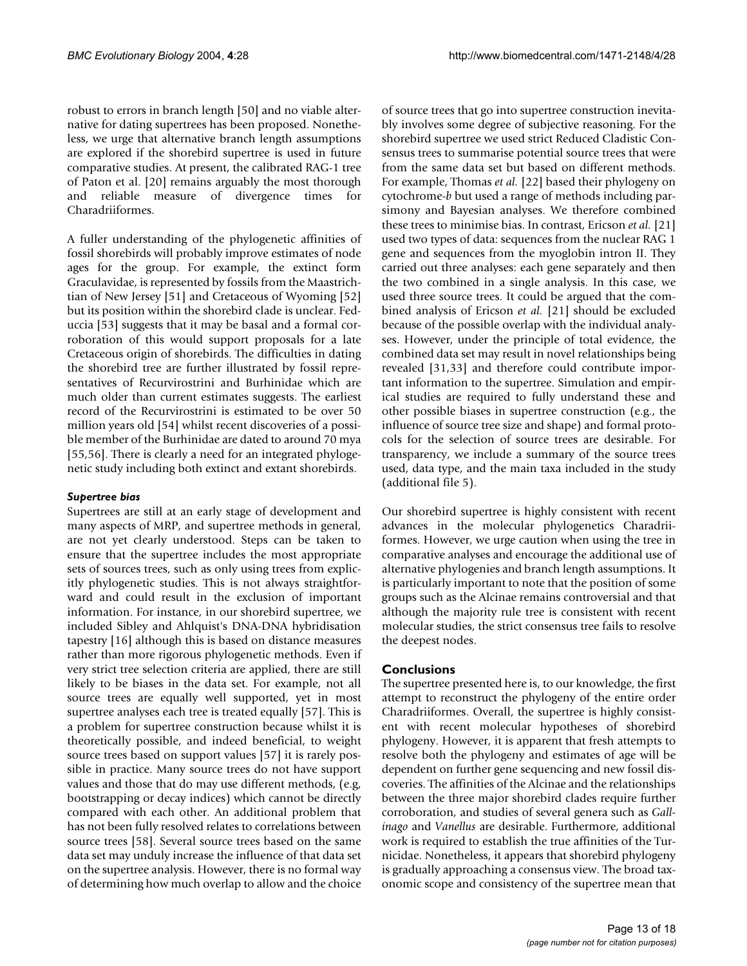robust to errors in branch length [50] and no viable alternative for dating supertrees has been proposed. Nonetheless, we urge that alternative branch length assumptions are explored if the shorebird supertree is used in future comparative studies. At present, the calibrated RAG-1 tree of Paton et al. [20] remains arguably the most thorough and reliable measure of divergence times for Charadriiformes.

A fuller understanding of the phylogenetic affinities of fossil shorebirds will probably improve estimates of node ages for the group. For example, the extinct form Graculavidae, is represented by fossils from the Maastrichtian of New Jersey [51] and Cretaceous of Wyoming [52] but its position within the shorebird clade is unclear. Feduccia [53] suggests that it may be basal and a formal corroboration of this would support proposals for a late Cretaceous origin of shorebirds. The difficulties in dating the shorebird tree are further illustrated by fossil representatives of Recurvirostrini and Burhinidae which are much older than current estimates suggests. The earliest record of the Recurvirostrini is estimated to be over 50 million years old [54] whilst recent discoveries of a possible member of the Burhinidae are dated to around 70 mya [55,56]. There is clearly a need for an integrated phylogenetic study including both extinct and extant shorebirds.

## *Supertree bias*

Supertrees are still at an early stage of development and many aspects of MRP, and supertree methods in general, are not yet clearly understood. Steps can be taken to ensure that the supertree includes the most appropriate sets of sources trees, such as only using trees from explicitly phylogenetic studies. This is not always straightforward and could result in the exclusion of important information. For instance, in our shorebird supertree, we included Sibley and Ahlquist's DNA-DNA hybridisation tapestry [16] although this is based on distance measures rather than more rigorous phylogenetic methods. Even if very strict tree selection criteria are applied, there are still likely to be biases in the data set. For example, not all source trees are equally well supported, yet in most supertree analyses each tree is treated equally [57]. This is a problem for supertree construction because whilst it is theoretically possible, and indeed beneficial, to weight source trees based on support values [57] it is rarely possible in practice. Many source trees do not have support values and those that do may use different methods, (e.g, bootstrapping or decay indices) which cannot be directly compared with each other. An additional problem that has not been fully resolved relates to correlations between source trees [58]. Several source trees based on the same data set may unduly increase the influence of that data set on the supertree analysis. However, there is no formal way of determining how much overlap to allow and the choice of source trees that go into supertree construction inevitably involves some degree of subjective reasoning. For the shorebird supertree we used strict Reduced Cladistic Consensus trees to summarise potential source trees that were from the same data set but based on different methods. For example, Thomas et al. [[22\]](#page-15-0) based their phylogeny on cytochrome-*b* but used a range of methods including parsimony and Bayesian analyses. We therefore combined these trees to minimise bias. In contrast, Ericson *et al.* [21] used two types of data: sequences from the nuclear RAG 1 gene and sequences from the myoglobin intron II. They carried out three analyses: each gene separately and then the two combined in a single analysis. In this case, we used three source trees. It could be argued that the combined analysis of Ericson *et al.* [21] should be excluded because of the possible overlap with the individual analyses. However, under the principle of total evidence, the combined data set may result in novel relationships being revealed [31,33] and therefore could contribute important information to the supertree. Simulation and empirical studies are required to fully understand these and other possible biases in supertree construction (e.g., the influence of source tree size and shape) and formal protocols for the selection of source trees are desirable. For transparency, we include a summary of the source trees used, data type, and the main taxa included in the study (additional file 5).

Our shorebird supertree is highly consistent with recent advances in the molecular phylogenetics Charadriiformes. However, we urge caution when using the tree in comparative analyses and encourage the additional use of alternative phylogenies and branch length assumptions. It is particularly important to note that the position of some groups such as the Alcinae remains controversial and that although the majority rule tree is consistent with recent molecular studies, the strict consensus tree fails to resolve the deepest nodes.

## **Conclusions**

The supertree presented here is, to our knowledge, the first attempt to reconstruct the phylogeny of the entire order Charadriiformes. Overall, the supertree is highly consistent with recent molecular hypotheses of shorebird phylogeny. However, it is apparent that fresh attempts to resolve both the phylogeny and estimates of age will be dependent on further gene sequencing and new fossil discoveries. The affinities of the Alcinae and the relationships between the three major shorebird clades require further corroboration, and studies of several genera such as *Gallinago* and *Vanellus* are desirable. Furthermore, additional work is required to establish the true affinities of the Turnicidae. Nonetheless, it appears that shorebird phylogeny is gradually approaching a consensus view. The broad taxonomic scope and consistency of the supertree mean that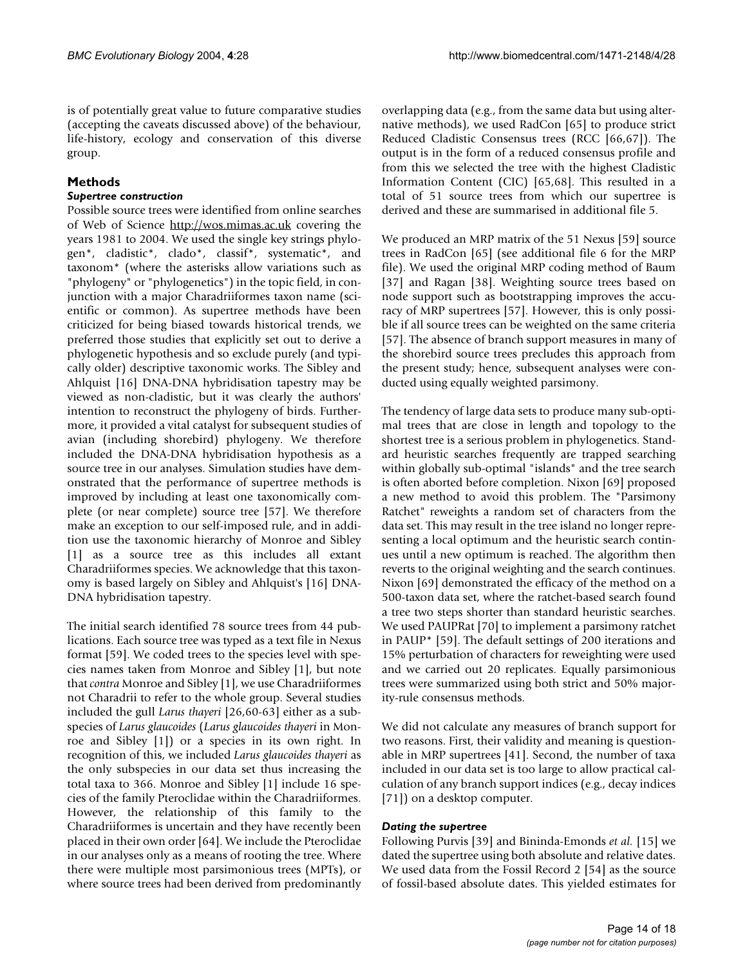is of potentially great value to future comparative studies (accepting the caveats discussed above) of the behaviour, life-history, ecology and conservation of this diverse group.

# **Methods**

## *Supertree construction*

Possible source trees were identified from online searches of Web of Science <http://wos.mimas.ac.uk>covering the years 1981 to 2004. We used the single key strings phylogen\*, cladistic\*, clado\*, classif\*, systematic\*, and taxonom\* (where the asterisks allow variations such as "phylogeny" or "phylogenetics") in the topic field, in conjunction with a major Charadriiformes taxon name (scientific or common). As supertree methods have been criticized for being biased towards historical trends, we preferred those studies that explicitly set out to derive a phylogenetic hypothesis and so exclude purely (and typically older) descriptive taxonomic works. The Sibley and Ahlquist [16] DNA-DNA hybridisation tapestry may be viewed as non-cladistic, but it was clearly the authors' intention to reconstruct the phylogeny of birds. Furthermore, it provided a vital catalyst for subsequent studies of avian (including shorebird) phylogeny. We therefore included the DNA-DNA hybridisation hypothesis as a source tree in our analyses. Simulation studies have demonstrated that the performance of supertree methods is improved by including at least one taxonomically complete (or near complete) source tree [57]. We therefore make an exception to our self-imposed rule, and in addition use the taxonomic hierarchy of Monroe and Sibley [1] as a source tree as this includes all extant Charadriiformes species. We acknowledge that this taxonomy is based largely on Sibley and Ahlquist's [16] DNA-DNA hybridisation tapestry.

The initial search identified 78 source trees from 44 publications. Each source tree was typed as a text file in Nexus format [59]. We coded trees to the species level with species names taken from Monroe and Sibley [1], but note that *contra* Monroe and Sibley [1], we use Charadriiformes not Charadrii to refer to the whole group. Several studies included the gull *Larus thayeri* [26,60-63] either as a subspecies of *Larus glaucoides* (*Larus glaucoides thayeri* in Monroe and Sibley [1]) or a species in its own right. In recognition of this, we included *Larus glaucoides thayeri* as the only subspecies in our data set thus increasing the total taxa to 366. Monroe and Sibley [1] include 16 species of the family Pteroclidae within the Charadriiformes. However, the relationship of this family to the Charadriiformes is uncertain and they have recently been placed in their own order [64]. We include the Pteroclidae in our analyses only as a means of rooting the tree. Where there were multiple most parsimonious trees (MPTs), or where source trees had been derived from predominantly overlapping data (e.g., from the same data but using alternative methods), we used RadCon [65] to produce strict Reduced Cladistic Consensus trees (RCC [66,67]). The output is in the form of a reduced consensus profile and from this we selected the tree with the highest Cladistic Information Content (CIC) [65,68]. This resulted in a total of 51 source trees from which our supertree is derived and these are summarised in additional file 5.

We produced an MRP matrix of the 51 Nexus [59] source trees in RadCon [65] (see additional file 6 for the MRP file). We used the original MRP coding method of Baum [37] and Ragan [38]. Weighting source trees based on node support such as bootstrapping improves the accuracy of MRP supertrees [57]. However, this is only possible if all source trees can be weighted on the same criteria [57]. The absence of branch support measures in many of the shorebird source trees precludes this approach from the present study; hence, subsequent analyses were conducted using equally weighted parsimony.

The tendency of large data sets to produce many sub-optimal trees that are close in length and topology to the shortest tree is a serious problem in phylogenetics. Standard heuristic searches frequently are trapped searching within globally sub-optimal "islands" and the tree search is often aborted before completion. Nixon [69] proposed a new method to avoid this problem. The "Parsimony Ratchet" reweights a random set of characters from the data set. This may result in the tree island no longer representing a local optimum and the heuristic search continues until a new optimum is reached. The algorithm then reverts to the original weighting and the search continues. Nixon [69] demonstrated the efficacy of the method on a 500-taxon data set, where the ratchet-based search found a tree two steps shorter than standard heuristic searches. We used PAUPRat [70] to implement a parsimony ratchet in PAUP\* [59]. The default settings of 200 iterations and 15% perturbation of characters for reweighting were used and we carried out 20 replicates. Equally parsimonious trees were summarized using both strict and 50% majority-rule consensus methods.

We did not calculate any measures of branch support for two reasons. First, their validity and meaning is questionable in MRP supertrees [41]. Second, the number of taxa included in our data set is too large to allow practical calculation of any branch support indices (e.g., decay indices [71]) on a desktop computer.

## *Dating the supertree*

Following Purvis [39] and Bininda-Emonds *et al.* [15] we dated the supertree using both absolute and relative dates. We used data from the Fossil Record 2 [54] as the source of fossil-based absolute dates. This yielded estimates for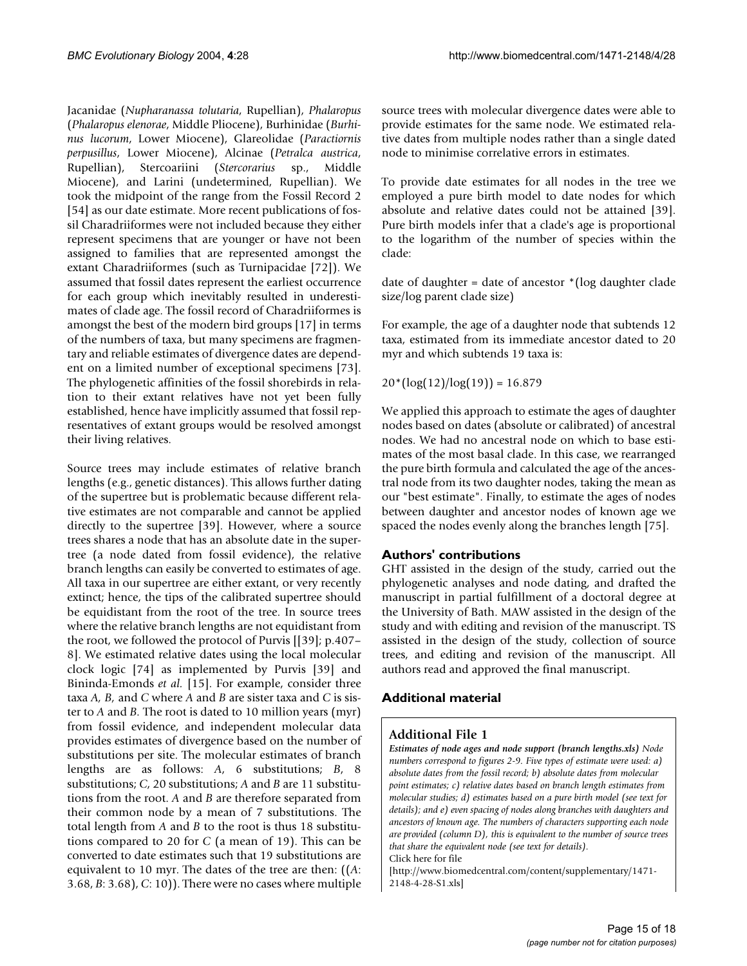Jacanidae (*Nupharanassa tolutaria*, Rupellian), *Phalaropus* (*Phalaropus elenorae*, Middle Pliocene), Burhinidae (*Burhinus lucorum*, Lower Miocene), Glareolidae (*Paractiornis perpusillus*, Lower Miocene), Alcinae (*Petralca austrica*, Rupellian), Stercoariini (*Stercorarius* sp., Middle Miocene), and Larini (undetermined, Rupellian). We took the midpoint of the range from the Fossil Record 2 [54] as our date estimate. More recent publications of fossil Charadriiformes were not included because they either represent specimens that are younger or have not been assigned to families that are represented amongst the extant Charadriiformes (such as Turnipacidae [72]). We assumed that fossil dates represent the earliest occurrence for each group which inevitably resulted in underestimates of clade age. The fossil record of Charadriiformes is amongst the best of the modern bird groups [17] in terms of the numbers of taxa, but many specimens are fragmentary and reliable estimates of divergence dates are dependent on a limited number of exceptional specimens [73]. The phylogenetic affinities of the fossil shorebirds in relation to their extant relatives have not yet been fully established, hence have implicitly assumed that fossil representatives of extant groups would be resolved amongst their living relatives.

Source trees may include estimates of relative branch lengths (e.g., genetic distances). This allows further dating of the supertree but is problematic because different relative estimates are not comparable and cannot be applied directly to the supertree [39]. However, where a source trees shares a node that has an absolute date in the supertree (a node dated from fossil evidence), the relative branch lengths can easily be converted to estimates of age. All taxa in our supertree are either extant, or very recently extinct; hence, the tips of the calibrated supertree should be equidistant from the root of the tree. In source trees where the relative branch lengths are not equidistant from the root, we followed the protocol of Purvis [[39]; p.407– 8]. We estimated relative dates using the local molecular clock logic [74] as implemented by Purvis [39] and Bininda-Emonds *et al.* [15]. For example, consider three taxa *A, B,* and *C* where *A* and *B* are sister taxa and *C* is sister to *A* and *B.* The root is dated to 10 million years (myr) from fossil evidence, and independent molecular data provides estimates of divergence based on the number of substitutions per site. The molecular estimates of branch lengths are as follows: *A*, 6 substitutions; *B*, 8 substitutions; *C*, 20 substitutions; *A* and *B* are 11 substitutions from the root. *A* and *B* are therefore separated from their common node by a mean of 7 substitutions. The total length from *A* and *B* to the root is thus 18 substitutions compared to 20 for *C* (a mean of 19). This can be converted to date estimates such that 19 substitutions are equivalent to 10 myr. The dates of the tree are then: ((*A*: 3.68, *B*: 3.68), *C*: 10)). There were no cases where multiple source trees with molecular divergence dates were able to provide estimates for the same node. We estimated relative dates from multiple nodes rather than a single dated node to minimise correlative errors in estimates.

To provide date estimates for all nodes in the tree we employed a pure birth model to date nodes for which absolute and relative dates could not be attained [39]. Pure birth models infer that a clade's age is proportional to the logarithm of the number of species within the clade:

date of daughter = date of ancestor \*(log daughter clade size/log parent clade size)

For example, the age of a daughter node that subtends 12 taxa, estimated from its immediate ancestor dated to 20 myr and which subtends 19 taxa is:

 $20*(\log(12)/\log(19)) = 16.879$ 

We applied this approach to estimate the ages of daughter nodes based on dates (absolute or calibrated) of ancestral nodes. We had no ancestral node on which to base estimates of the most basal clade. In this case, we rearranged the pure birth formula and calculated the age of the ancestral node from its two daughter nodes, taking the mean as our "best estimate". Finally, to estimate the ages of nodes between daughter and ancestor nodes of known age we spaced the nodes evenly along the branches length [75].

# **Authors' contributions**

GHT assisted in the design of the study, carried out the phylogenetic analyses and node dating, and drafted the manuscript in partial fulfillment of a doctoral degree at the University of Bath. MAW assisted in the design of the study and with editing and revision of the manuscript. TS assisted in the design of the study, collection of source trees, and editing and revision of the manuscript. All authors read and approved the final manuscript.

# **Additional material**

# **Additional File 1**

*Estimates of node ages and node support (branch lengths.xls) Node numbers correspond to figures 2-9. Five types of estimate were used: a) absolute dates from the fossil record; b) absolute dates from molecular point estimates; c) relative dates based on branch length estimates from molecular studies; d) estimates based on a pure birth model (see text for details); and e) even spacing of nodes along branches with daughters and ancestors of known age. The numbers of characters supporting each node are provided (column D), this is equivalent to the number of source trees that share the equivalent node (see text for details).* Click here for file

[\[http://www.biomedcentral.com/content/supplementary/1471-](http://www.biomedcentral.com/content/supplementary/1471-2148-4-28-S1.xls) 2148-4-28-S1.xls]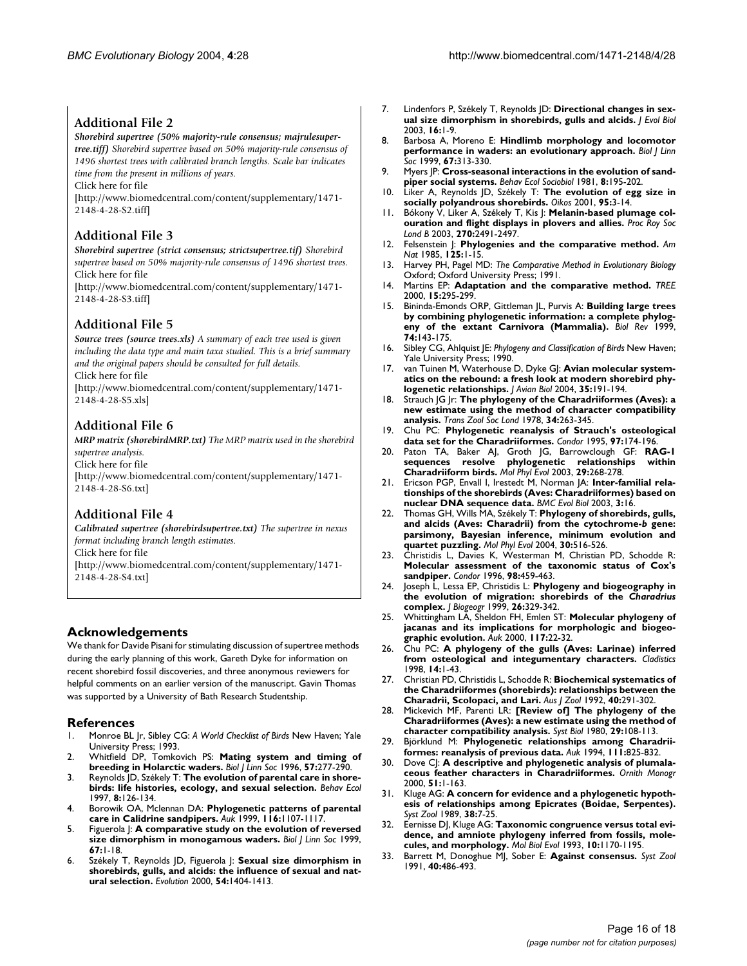#### **Additional File 2**

*Shorebird supertree (50% majority-rule consensus; majrulesupertree.tiff) Shorebird supertree based on 50% majority-rule consensus of 1496 shortest trees with calibrated branch lengths. Scale bar indicates time from the present in millions of years.*

Click here for file

[\[http://www.biomedcentral.com/content/supplementary/1471-](http://www.biomedcentral.com/content/supplementary/1471-2148-4-28-S2.tiff) 2148-4-28-S2.tiff]

#### **Additional File 3**

*Shorebird supertree (strict consensus; strictsupertree.tif) Shorebird supertree based on 50% majority-rule consensus of 1496 shortest trees.* Click here for file

[\[http://www.biomedcentral.com/content/supplementary/1471-](http://www.biomedcentral.com/content/supplementary/1471-2148-4-28-S3.tiff) 2148-4-28-S3.tiff]

#### **Additional File 5**

*Source trees (source trees.xls) A summary of each tree used is given including the data type and main taxa studied. This is a brief summary and the original papers should be consulted for full details.* Click here for file

[\[http://www.biomedcentral.com/content/supplementary/1471-](http://www.biomedcentral.com/content/supplementary/1471-2148-4-28-S5.xls) 2148-4-28-S5.xls]

#### **Additional File 6**

*MRP matrix (shorebirdMRP.txt) The MRP matrix used in the shorebird supertree analysis.* Click here for file

[\[http://www.biomedcentral.com/content/supplementary/1471-](http://www.biomedcentral.com/content/supplementary/1471-2148-4-28-S6.txt) 2148-4-28-S6.txt]

## **Additional File 4**

*Calibrated supertree (shorebirdsupertree.txt) The supertree in nexus format including branch length estimates.*

Click here for file

[\[http://www.biomedcentral.com/content/supplementary/1471-](http://www.biomedcentral.com/content/supplementary/1471-2148-4-28-S4.txt) 2148-4-28-S4.txt]

#### **Acknowledgements**

We thank for Davide Pisani for stimulating discussion of supertree methods during the early planning of this work, Gareth Dyke for information on recent shorebird fossil discoveries, and three anonymous reviewers for helpful comments on an earlier version of the manuscript. Gavin Thomas was supported by a University of Bath Research Studentship.

#### **References**

- 1. Monroe BL Jr, Sibley CG: *A World Checklist of Birds* New Haven; Yale University Press; 1993.
- 2. Whitfield DP, Tomkovich PS: **[Mating system and timing of](http://www.ncbi.nlm.nih.gov/entrez/query.fcgi?cmd=Retrieve&db=PubMed&dopt=Abstract&list_uids=10.1006/bijl.1996.0015) [breeding in Holarctic waders.](http://www.ncbi.nlm.nih.gov/entrez/query.fcgi?cmd=Retrieve&db=PubMed&dopt=Abstract&list_uids=10.1006/bijl.1996.0015)** *Biol J Linn Soc* 1996, **57:**277-290.
- 3. Reynolds JD, Székely T: **The evolution of parental care in shorebirds: life histories, ecology, and sexual selection.** *Behav Ecol* 1997, **8:**126-134.
- 4. Borowik OA, Mclennan DA: **Phylogenetic patterns of parental care in Calidrine sandpipers.** *Auk* 1999, **116:**1107-1117.
- 5. Figuerola J: **[A comparative study on the evolution of reversed](http://www.ncbi.nlm.nih.gov/entrez/query.fcgi?cmd=Retrieve&db=PubMed&dopt=Abstract&list_uids=10.1006/bijl.1998.0254) [size dimorphism in monogamous waders.](http://www.ncbi.nlm.nih.gov/entrez/query.fcgi?cmd=Retrieve&db=PubMed&dopt=Abstract&list_uids=10.1006/bijl.1998.0254)** *Biol J Linn Soc* 1999, **67:**1-18.
- 6. Székely T, Reynolds JD, Figuerola J: **[Sexual size dimorphism in](http://www.ncbi.nlm.nih.gov/entrez/query.fcgi?cmd=Retrieve&db=PubMed&dopt=Abstract&list_uids=11005306) [shorebirds, gulls, and alcids: the influence of sexual and nat](http://www.ncbi.nlm.nih.gov/entrez/query.fcgi?cmd=Retrieve&db=PubMed&dopt=Abstract&list_uids=11005306)[ural selection.](http://www.ncbi.nlm.nih.gov/entrez/query.fcgi?cmd=Retrieve&db=PubMed&dopt=Abstract&list_uids=11005306)** *Evolution* 2000, **54:**1404-1413.
- 7. Lindenfors P, Székely T, Reynolds JD: **[Directional changes in sex](http://www.ncbi.nlm.nih.gov/entrez/query.fcgi?cmd=Retrieve&db=PubMed&dopt=Abstract&list_uids=10.1046/j.1420-9101.2003.00506.x)[ual size dimorphism in shorebirds, gulls and alcids](http://www.ncbi.nlm.nih.gov/entrez/query.fcgi?cmd=Retrieve&db=PubMed&dopt=Abstract&list_uids=10.1046/j.1420-9101.2003.00506.x)[.](http://www.ncbi.nlm.nih.gov/entrez/query.fcgi?cmd=Retrieve&db=PubMed&dopt=Abstract&list_uids=14635875)** *J Evol Biol* 2003, **16:**1-9.
- 8. Barbosa A, Moreno E: **[Hindlimb morphology and locomotor](http://www.ncbi.nlm.nih.gov/entrez/query.fcgi?cmd=Retrieve&db=PubMed&dopt=Abstract&list_uids=10.1006/bijl.1998.0282) [performance in waders: an evolutionary approach.](http://www.ncbi.nlm.nih.gov/entrez/query.fcgi?cmd=Retrieve&db=PubMed&dopt=Abstract&list_uids=10.1006/bijl.1998.0282)** *Biol J Linn Soc* 1999, **67:**313-330.
- 9. Myers JP: **Cross-seasonal interactions in the evolution of sandpiper social systems.** *Behav Ecol Sociobiol* 1981, **8:**195-202.
- 10. Liker A, Reynolds JD, Székely T: **The evolution of egg size in socially polyandrous shorebirds.** *Oikos* 2001, **95:**3-14.
- 11. Bókony V, Liker A, Székely T, Kis J: **[Melanin-based plumage col](http://www.ncbi.nlm.nih.gov/entrez/query.fcgi?cmd=Retrieve&db=PubMed&dopt=Abstract&list_uids=10.1098/rspb.2003.2506)[ouration and flight displays in plovers and allies.](http://www.ncbi.nlm.nih.gov/entrez/query.fcgi?cmd=Retrieve&db=PubMed&dopt=Abstract&list_uids=10.1098/rspb.2003.2506)** *Proc Roy Soc Lond B* 2003, **270:**2491-2497.
- 12. Felsenstein J: **[Phylogenies and the comparative method.](http://www.ncbi.nlm.nih.gov/entrez/query.fcgi?cmd=Retrieve&db=PubMed&dopt=Abstract&list_uids=10.1086/284325)** *Am Nat* 1985, **125:**1-15.
- 13. Harvey PH, Pagel MD: *The Comparative Method in Evolutionary Biology* Oxford; Oxford University Press; 1991.
- 14. Martins EP: **Adaptation and the comparative method.** *TREE* 2000, **15:**295-299.
- 15. Bininda-Emonds ORP, Gittleman JL, Purvis A: **[Building large trees](http://www.ncbi.nlm.nih.gov/entrez/query.fcgi?cmd=Retrieve&db=PubMed&dopt=Abstract&list_uids=10.1017/S0006323199005307) [by combining phylogenetic information: a complete phylog](http://www.ncbi.nlm.nih.gov/entrez/query.fcgi?cmd=Retrieve&db=PubMed&dopt=Abstract&list_uids=10.1017/S0006323199005307)[eny of the extant Carnivora \(Mammalia\)](http://www.ncbi.nlm.nih.gov/entrez/query.fcgi?cmd=Retrieve&db=PubMed&dopt=Abstract&list_uids=10.1017/S0006323199005307)[.](http://www.ncbi.nlm.nih.gov/entrez/query.fcgi?cmd=Retrieve&db=PubMed&dopt=Abstract&list_uids=10396181)** *Biol Rev* 1999, **74:**143-175.
- 16. Sibley CG, Ahlquist JE: *Phylogeny and Classification of Birds* New Haven; Yale University Press; 1990.
- 17. van Tuinen M, Waterhouse D, Dyke GJ: **[Avian molecular system](http://www.ncbi.nlm.nih.gov/entrez/query.fcgi?cmd=Retrieve&db=PubMed&dopt=Abstract&list_uids=10.1111/j.0908-8857.2004.03362.x)[atics on the rebound: a fresh look at modern shorebird phy](http://www.ncbi.nlm.nih.gov/entrez/query.fcgi?cmd=Retrieve&db=PubMed&dopt=Abstract&list_uids=10.1111/j.0908-8857.2004.03362.x)[logenetic relationships.](http://www.ncbi.nlm.nih.gov/entrez/query.fcgi?cmd=Retrieve&db=PubMed&dopt=Abstract&list_uids=10.1111/j.0908-8857.2004.03362.x)** *J Avian Biol* 2004, **35:**191-194.
- 18. Strauch JG Jr: **The phylogeny of the Charadriiformes (Aves): a new estimate using the method of character compatibility analysis.** *Trans Zool Soc Lond* 1978, **34:**263-345.
- 19. Chu PC: **Phylogenetic reanalysis of Strauch's osteological data set for the Charadriiformes.** *Condor* 1995, **97:**174-196.
- 20. Paton TA, Baker AJ, Groth JG, Barrowclough GF: **[RAG-1](http://www.ncbi.nlm.nih.gov/entrez/query.fcgi?cmd=Retrieve&db=PubMed&dopt=Abstract&list_uids=10.1016/S1055-7903(03)00098-8) [sequences resolve phylogenetic relationships within](http://www.ncbi.nlm.nih.gov/entrez/query.fcgi?cmd=Retrieve&db=PubMed&dopt=Abstract&list_uids=10.1016/S1055-7903(03)00098-8) [Charadriiform birds.](http://www.ncbi.nlm.nih.gov/entrez/query.fcgi?cmd=Retrieve&db=PubMed&dopt=Abstract&list_uids=10.1016/S1055-7903(03)00098-8)** *Mol Phyl Evol* 2003, **29:**268-278.
- 21. Ericson PGP, Envall I, Irestedt M, Norman JA: **[Inter-familial rela](http://www.ncbi.nlm.nih.gov/entrez/query.fcgi?cmd=Retrieve&db=PubMed&dopt=Abstract&list_uids=184354)[tionships of the shorebirds \(Aves: Charadriiformes\) based on](http://www.ncbi.nlm.nih.gov/entrez/query.fcgi?cmd=Retrieve&db=PubMed&dopt=Abstract&list_uids=184354) [nuclear DNA sequence data](http://www.ncbi.nlm.nih.gov/entrez/query.fcgi?cmd=Retrieve&db=PubMed&dopt=Abstract&list_uids=184354)[.](http://www.ncbi.nlm.nih.gov/entrez/query.fcgi?cmd=Retrieve&db=PubMed&dopt=Abstract&list_uids=10.1186/1471-2148-3-16)** *BMC Evol Biol* 2003, **3:**16.
- <span id="page-15-0"></span>22. Thomas GH, Wills MA, Székely T: **Phylogeny of shorebirds, gulls, and alcids (Aves: Charadrii) from the cytochrome-***b* **[gene:](http://www.ncbi.nlm.nih.gov/entrez/query.fcgi?cmd=Retrieve&db=PubMed&dopt=Abstract&list_uids=10.1016/S1055-7903(03)00222-7) [parsimony, Bayesian inference, minimum evolution and](http://www.ncbi.nlm.nih.gov/entrez/query.fcgi?cmd=Retrieve&db=PubMed&dopt=Abstract&list_uids=10.1016/S1055-7903(03)00222-7) [quartet puzzling.](http://www.ncbi.nlm.nih.gov/entrez/query.fcgi?cmd=Retrieve&db=PubMed&dopt=Abstract&list_uids=10.1016/S1055-7903(03)00222-7)** *Mol Phyl Evol* 2004, **30:**516-526.
- 23. Christidis L, Davies K, Westerman M, Christian PD, Schodde R: **Molecular assessment of the taxonomic status of Cox's sandpiper.** *Condor* 1996, **98:**459-463.
- <span id="page-15-1"></span>24. Joseph L, Lessa EP, Christidis L: **Phylogeny and biogeography in the evolution of migration: shorebirds of the** *Charadrius* **[complex.](http://www.ncbi.nlm.nih.gov/entrez/query.fcgi?cmd=Retrieve&db=PubMed&dopt=Abstract&list_uids=10.1046/j.1365-2699.1999.00269.x)** *J Biogeogr* 1999, **26:**329-342.
- 25. Whittingham LA, Sheldon FH, Emlen ST: **Molecular phylogeny of jacanas and its implications for morphologic and biogeographic evolution.** *Auk* 2000, **117:**22-32.
- 26. Chu PC: **[A phylogeny of the gulls \(Aves: Larinae\) inferred](http://www.ncbi.nlm.nih.gov/entrez/query.fcgi?cmd=Retrieve&db=PubMed&dopt=Abstract&list_uids=10.1006/clad.1997.0051) [from osteological and integumentary characters.](http://www.ncbi.nlm.nih.gov/entrez/query.fcgi?cmd=Retrieve&db=PubMed&dopt=Abstract&list_uids=10.1006/clad.1997.0051)** *Cladistics* 1998, **14:**1-43.
- 27. Christian PD, Christidis L, Schodde R: **Biochemical systematics of the Charadriiformes (shorebirds): relationships between the Charadrii, Scolopaci, and Lari.** *Aus J Zool* 1992, **40:**291-302.
- 28. Mickevich MF, Parenti LR: **[Review of] The phylogeny of the Charadriiformes (Aves): a new estimate using the method of character compatibility analysis.** *Syst Biol* 1980, **29:**108-113.
- 29. Björklund M: **Phylogenetic relationships among Charadriiformes: reanalysis of previous data.** *Auk* 1994, **111:**825-832.
- 30. Dove CJ: **A descriptive and phylogenetic analysis of plumalaceous feather characters in Charadriiformes.** *Ornith Monogr* 2000, **51:**1-163.
- 31. Kluge AG: **A concern for evidence and a phylogenetic hypothesis of relationships among Epicrates (Boidae, Serpentes).** *Syst Zool* 1989, **38:**7-25.
- 32. Eernisse DJ, Kluge AG: [Taxonomic congruence versus total evi](http://www.ncbi.nlm.nih.gov/entrez/query.fcgi?cmd=Retrieve&db=PubMed&dopt=Abstract&list_uids=8277850)**[dence, and amniote phylogeny inferred from fossils, mole](http://www.ncbi.nlm.nih.gov/entrez/query.fcgi?cmd=Retrieve&db=PubMed&dopt=Abstract&list_uids=8277850)[cules, and morphology.](http://www.ncbi.nlm.nih.gov/entrez/query.fcgi?cmd=Retrieve&db=PubMed&dopt=Abstract&list_uids=8277850)** *Mol Biol Evol* 1993, **10:**1170-1195.
- 33. Barrett M, Donoghue MJ, Sober E: **Against consensus.** *Syst Zool* 1991, **40:**486-493.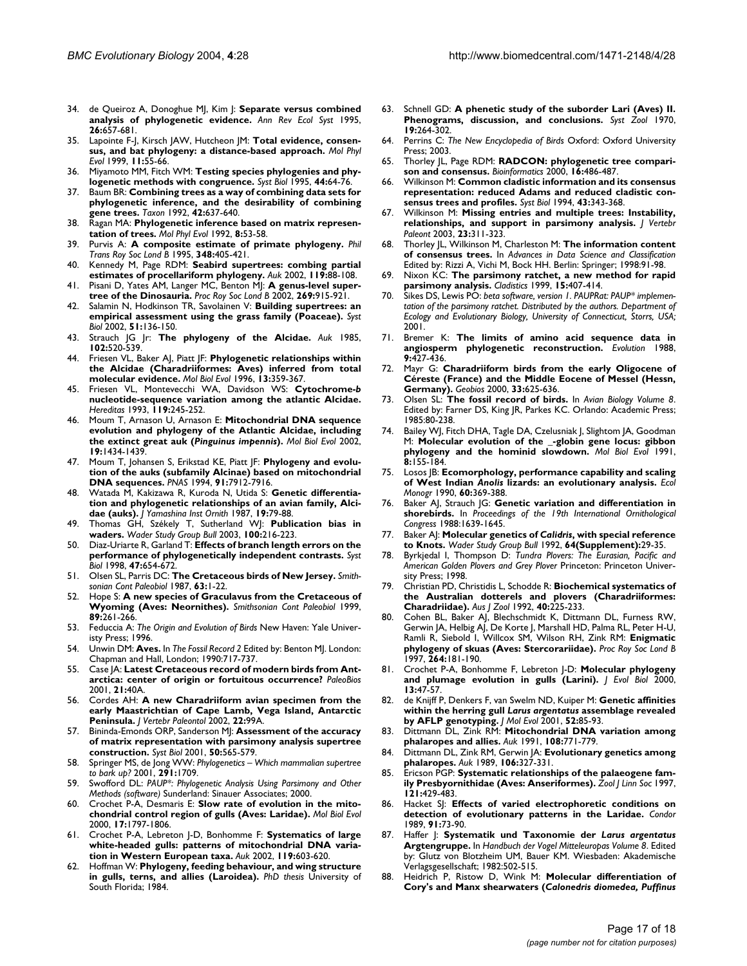- 34. de Queiroz A, Donoghue MJ, Kim J: **[Separate versus combined](http://www.ncbi.nlm.nih.gov/entrez/query.fcgi?cmd=Retrieve&db=PubMed&dopt=Abstract&list_uids=10.1146/annurev.es.26.110195.003301) [analysis of phylogenetic evidence.](http://www.ncbi.nlm.nih.gov/entrez/query.fcgi?cmd=Retrieve&db=PubMed&dopt=Abstract&list_uids=10.1146/annurev.es.26.110195.003301)** *Ann Rev Ecol Syst* 1995, **26:**657-681.
- 35. Lapointe F-J, Kirsch JAW, Hutcheon JM: **[Total evidence, consen](http://www.ncbi.nlm.nih.gov/entrez/query.fcgi?cmd=Retrieve&db=PubMed&dopt=Abstract&list_uids=10.1006/mpev.1998.0561)[sus, and bat phylogeny: a distance-based approach.](http://www.ncbi.nlm.nih.gov/entrez/query.fcgi?cmd=Retrieve&db=PubMed&dopt=Abstract&list_uids=10.1006/mpev.1998.0561)** *Mol Phyl Evol* 1999, **11:**55-66.
- 36. Miyamoto MM, Fitch WM: **Testing species phylogenies and phylogenetic methods with congruence.** *Syst Biol* 1995, **44:**64-76.
- 37. Baum BR: **Combining trees as a way of combining data sets for phylogenetic inference, and the desirability of combining gene trees.** *Taxon* 1992, **42:**637-640.
- 38. Ragan MA: **Phylogenetic inference based on matrix representation of trees.** *Mol Phyl Evol* 1992, **8:**53-58.
- 39. Purvis A: **A composite estimate of primate phylogeny.** *Phil Trans Roy Soc Lond B* 1995, **348:**405-421.
- 40. Kennedy M, Page RDM: **Seabird supertrees: combing partial estimates of procellariform phylogeny.** *Auk* 2002, **119:**88-108.
- 41. Pisani D, Yates AM, Langer MC, Benton MJ: **[A genus-level super](http://www.ncbi.nlm.nih.gov/entrez/query.fcgi?cmd=Retrieve&db=PubMed&dopt=Abstract&list_uids=10.1098/rspb.2001.1942)[tree of the Dinosauria.](http://www.ncbi.nlm.nih.gov/entrez/query.fcgi?cmd=Retrieve&db=PubMed&dopt=Abstract&list_uids=10.1098/rspb.2001.1942)** *Proc Roy Soc Lond B* 2002, **269:**915-921.
- 42. Salamin N, Hodkinson TR, Savolainen V: **[Building supertrees: an](http://www.ncbi.nlm.nih.gov/entrez/query.fcgi?cmd=Retrieve&db=PubMed&dopt=Abstract&list_uids=10.1080/106351502753475916) [empirical assessment using the grass family \(Poaceae\)](http://www.ncbi.nlm.nih.gov/entrez/query.fcgi?cmd=Retrieve&db=PubMed&dopt=Abstract&list_uids=10.1080/106351502753475916)[.](http://www.ncbi.nlm.nih.gov/entrez/query.fcgi?cmd=Retrieve&db=PubMed&dopt=Abstract&list_uids=11943096)** *Syst Biol* 2002, **51:**136-150.
- 43. Strauch JG Jr: **The phylogeny of the Alcidae.** *Auk* 1985, **102:**520-539.
- 44. Friesen VL, Baker AJ, Piatt JF: **[Phylogenetic relationships within](http://www.ncbi.nlm.nih.gov/entrez/query.fcgi?cmd=Retrieve&db=PubMed&dopt=Abstract&list_uids=8587501) [the Alcidae \(Charadriiformes: Aves\) inferred from total](http://www.ncbi.nlm.nih.gov/entrez/query.fcgi?cmd=Retrieve&db=PubMed&dopt=Abstract&list_uids=8587501) [molecular evidence.](http://www.ncbi.nlm.nih.gov/entrez/query.fcgi?cmd=Retrieve&db=PubMed&dopt=Abstract&list_uids=8587501)** *Mol Biol Evol* 1996, **13:**359-367.
- 45. Friesen VL, Montevecchi WA, Davidson WS: **Cytochrome-***b* **[nucleotide-sequence variation among the atlantic Alcidae](http://www.ncbi.nlm.nih.gov/entrez/query.fcgi?cmd=Retrieve&db=PubMed&dopt=Abstract&list_uids=10.1111/j.1601-5223.1993.00245.x)[.](http://www.ncbi.nlm.nih.gov/entrez/query.fcgi?cmd=Retrieve&db=PubMed&dopt=Abstract&list_uids=7916741)** *Hereditas* 1993, **119:**245-252.
- 46. Moum T, Arnason U, Arnason E: **Mitochondrial DNA sequence evolution and phylogeny of the Atlantic Alcidae, including the extinct great auk (***Pinguinus impennis***[\).](http://www.ncbi.nlm.nih.gov/entrez/query.fcgi?cmd=Retrieve&db=PubMed&dopt=Abstract&list_uids=12200471)** *Mol Biol Evol* 2002, **19:**1434-1439.
- 47. Moum T, Johansen S, Erikstad KE, Piatt JF: **[Phylogeny and evolu](http://www.ncbi.nlm.nih.gov/entrez/query.fcgi?cmd=Retrieve&db=PubMed&dopt=Abstract&list_uids=44514)[tion of the auks \(subfamily Alcinae\) based on mitochondrial](http://www.ncbi.nlm.nih.gov/entrez/query.fcgi?cmd=Retrieve&db=PubMed&dopt=Abstract&list_uids=44514) [DNA sequences](http://www.ncbi.nlm.nih.gov/entrez/query.fcgi?cmd=Retrieve&db=PubMed&dopt=Abstract&list_uids=44514)[.](http://www.ncbi.nlm.nih.gov/entrez/query.fcgi?cmd=Retrieve&db=PubMed&dopt=Abstract&list_uids=8058734)** *PNAS* 1994, **91:**7912-7916.
- 48. Watada M, Kakizawa R, Kuroda N, Utida S: **Genetic differentiation and phylogenetic relationships of an avian family, Alcidae (auks).** *J Yamashina Inst Ornith* 1987, **19:**79-88.
- 49. Thomas GH, Székely T, Sutherland WJ: **Publication bias in waders.** *Wader Study Group Bull* 2003, **100:**216-223.
- 50. Diaz-Uriarte R, Garland T: **[Effects of branch length errors on the](http://www.ncbi.nlm.nih.gov/entrez/query.fcgi?cmd=Retrieve&db=PubMed&dopt=Abstract&list_uids=10.1080/106351598260653) [performance of phylogenetically independent contrasts](http://www.ncbi.nlm.nih.gov/entrez/query.fcgi?cmd=Retrieve&db=PubMed&dopt=Abstract&list_uids=10.1080/106351598260653)[.](http://www.ncbi.nlm.nih.gov/entrez/query.fcgi?cmd=Retrieve&db=PubMed&dopt=Abstract&list_uids=12066309)** *Syst Biol* 1998, **47:**654-672.
- 51. Olsen SL, Parris DC: **The Cretaceous birds of New Jersey.** *Smithsonian Cont Paleobiol* 1987, **63:**1-22.
- 52. Hope S: **A new species of Graculavus from the Cretaceous of Wyoming (Aves: Neornithes).** *Smithsonian Cont Paleobiol* 1999, **89:**261-266.
- 53. Feduccia A: *The Origin and Evolution of Birds* New Haven: Yale Univeristy Press; 1996.
- 54. Unwin DM: **Aves.** In *The Fossil Record 2* Edited by: Benton MJ. London: Chapman and Hall, London; 1990:717-737.
- 55. Case JA: **Latest Cretaceous record of modern birds from Antarctica: center of origin or fortuitous occurrence?** *PaleoBios* 2001, **21:**40A.
- 56. Cordes AH: **A new Charadriiform avian specimen from the early Maastrichtian of Cape Lamb, Vega Island, Antarctic Peninsula.** *J Vertebr Paleontol* 2002, **22:**99A.
- 57. Bininda-Emonds ORP, Sanderson MJ: **[Assessment of the accuracy](http://www.ncbi.nlm.nih.gov/entrez/query.fcgi?cmd=Retrieve&db=PubMed&dopt=Abstract&list_uids=10.1080/106351501750435112) [of matrix representation with parsimony analysis supertree](http://www.ncbi.nlm.nih.gov/entrez/query.fcgi?cmd=Retrieve&db=PubMed&dopt=Abstract&list_uids=10.1080/106351501750435112) [construction](http://www.ncbi.nlm.nih.gov/entrez/query.fcgi?cmd=Retrieve&db=PubMed&dopt=Abstract&list_uids=10.1080/106351501750435112)[.](http://www.ncbi.nlm.nih.gov/entrez/query.fcgi?cmd=Retrieve&db=PubMed&dopt=Abstract&list_uids=12116654)** *Syst Biol* 2001, **50:**565-579.
- 58. Springer MS, de Jong WW: *Phylogenetics Which mammalian supertree to bark up?* 2001, **291:**1709.
- 59. Swofford DL: *PAUP\*: Phylogenetic Analysis Using Parsimony and Other Methods (software)* Sunderland: Sinauer Associates; 2000.
- 60. Crochet P-A, Desmaris E: **[Slow rate of evolution in the mito](http://www.ncbi.nlm.nih.gov/entrez/query.fcgi?cmd=Retrieve&db=PubMed&dopt=Abstract&list_uids=11110895)[chondrial control region of gulls \(Aves: Laridae\).](http://www.ncbi.nlm.nih.gov/entrez/query.fcgi?cmd=Retrieve&db=PubMed&dopt=Abstract&list_uids=11110895)** *Mol Biol Evol* 2000, **17:**1797-1806.
- 61. Crochet P-A, Lebreton J-D, Bonhomme F: **Systematics of large white-headed gulls: patterns of mitochondrial DNA variation in Western European taxa.** *Auk* 2002, **119:**603-620.
- 62. Hoffman W: **Phylogeny, feeding behaviour, and wing structure in gulls, terns, and allies (Laroidea).** *PhD thesis* University of South Florida; 1984.
- 63. Schnell GD: **[A phenetic study of the suborder Lari \(Aves\) II.](http://www.ncbi.nlm.nih.gov/entrez/query.fcgi?cmd=Retrieve&db=PubMed&dopt=Abstract&list_uids=5466091) [Phenograms, discussion, and conclusions.](http://www.ncbi.nlm.nih.gov/entrez/query.fcgi?cmd=Retrieve&db=PubMed&dopt=Abstract&list_uids=5466091)** *Syst Zool* 1970, **19:**264-302.
- 64. Perrins C: *The New Encyclopedia of Birds* Oxford: Oxford University Press; 2003.
- 65. Thorley JL, Page RDM: **[RADCON: phylogenetic tree compari](http://www.ncbi.nlm.nih.gov/entrez/query.fcgi?cmd=Retrieve&db=PubMed&dopt=Abstract&list_uids=10.1093/bioinformatics/16.5.486)[son and consensus](http://www.ncbi.nlm.nih.gov/entrez/query.fcgi?cmd=Retrieve&db=PubMed&dopt=Abstract&list_uids=10.1093/bioinformatics/16.5.486)[.](http://www.ncbi.nlm.nih.gov/entrez/query.fcgi?cmd=Retrieve&db=PubMed&dopt=Abstract&list_uids=10871273)** *Bioinformatics* 2000, **16:**486-487.
- 66. Wilkinson M: **Common cladistic information and its consensus representation: reduced Adams and reduced cladistic consensus trees and profiles.** *Syst Biol* 1994, **43:**343-368.
- 67. Wilkinson M: **Missing entries and multiple trees: Instability, relationships, and support in parsimony analysis.** *J Vertebr Paleont* 2003, **23:**311-323.
- 68. Thorley JL, Wilkinson M, Charleston M: **The information content of consensus trees.** In *Advances in Data Science and Classification* Edited by: Rizzi A, Vichi M, Bock HH. Berlin: Springer; 1998:91-98.
- 69. Nixon KC: **[The parsimony ratchet, a new method for rapid](http://www.ncbi.nlm.nih.gov/entrez/query.fcgi?cmd=Retrieve&db=PubMed&dopt=Abstract&list_uids=10.1006/clad.1999.0121) [parsimony analysis.](http://www.ncbi.nlm.nih.gov/entrez/query.fcgi?cmd=Retrieve&db=PubMed&dopt=Abstract&list_uids=10.1006/clad.1999.0121)** *Cladistics* 1999, **15:**407-414.
- 70. Sikes DS, Lewis PO: *beta software, version 1. PAUPRat: PAUP\* implementation of the parsimony ratchet. Distributed by the authors. Department of Ecology and Evolutionary Biology, University of Connecticut, Storrs, USA;* 2001.
- 71. Bremer K: **The limits of amino acid sequence data in angiosperm phylogenetic reconstruction.** *Evolution* 1988, **9:**427-436.
- 72. Mayr G: **Charadriiform birds from the early Oligocene of Céreste (France) and the Middle Eocene of Messel (Hessn, Germany).** *Geobios* 2000, **33:**625-636.
- 73. Olsen SL: **The fossil record of birds.** In *Avian Biology Volume 8*. Edited by: Farner DS, King JR, Parkes KC. Orlando: Academic Press; 1985:80-238.
- 74. Bailey WJ, Fitch DHA, Tagle DA, Czelusniak J, Slightom JA, Goodman M: **[Molecular evolution of the \\_-globin gene locus: gibbon](http://www.ncbi.nlm.nih.gov/entrez/query.fcgi?cmd=Retrieve&db=PubMed&dopt=Abstract&list_uids=2046542) [phylogeny and the hominid slowdown.](http://www.ncbi.nlm.nih.gov/entrez/query.fcgi?cmd=Retrieve&db=PubMed&dopt=Abstract&list_uids=2046542)** *Mol Biol Evol* 1991, **8:**155-184.
- 75. Losos JB: **Ecomorphology, performance capability and scaling of West Indian** *Anolis* **lizards: an evolutionary analysis.** *Ecol Monogr* 1990, **60:**369-388.
- 76. Baker AJ, Strauch JG: **Genetic variation and differentiation in shorebirds.** In *Proceedings of the 19th International Ornithological Congress* 1988:1639-1645.
- 77. Baker AJ: **Molecular genetics of** *Calidris***, with special reference to Knots.** *Wader Study Group Bull* 1992, **64(Supplement):**29-35.
- 78. Byrkjedal I, Thompson D: *Tundra Plovers: The Eurasian, Pacific and American Golden Plovers and Grey Plover* Princeton: Princeton University Press; 1998.
- 79. Christian PD, Christidis L, Schodde R: **Biochemical systematics of the Australian dotterels and plovers (Charadriiformes: Charadriidae).** *Aus J Zool* 1992, **40:**225-233.
- 80. Cohen BL, Baker AJ, Blechschmidt K, Dittmann DL, Furness RW, Gerwin JA, Helbig AJ, De Korte J, Marshall HD, Palma RL, Peter H-U, Ramli R, Siebold I, Willcox SM, Wilson RH, Zink RM: **[Enigmatic](http://www.ncbi.nlm.nih.gov/entrez/query.fcgi?cmd=Retrieve&db=PubMed&dopt=Abstract&list_uids=10.1098/rspb.1997.0026) [phylogeny of skuas \(Aves: Stercorariidae\).](http://www.ncbi.nlm.nih.gov/entrez/query.fcgi?cmd=Retrieve&db=PubMed&dopt=Abstract&list_uids=10.1098/rspb.1997.0026)** *Proc Roy Soc Lond B* 1997, **264:**181-190.
- 81. Crochet P-A, Bonhomme F, Lebreton J-D: **[Molecular phylogeny](http://www.ncbi.nlm.nih.gov/entrez/query.fcgi?cmd=Retrieve&db=PubMed&dopt=Abstract&list_uids=10.1046/j.1420-9101.2000.00135.x) [and plumage evolution in gulls \(Larini\).](http://www.ncbi.nlm.nih.gov/entrez/query.fcgi?cmd=Retrieve&db=PubMed&dopt=Abstract&list_uids=10.1046/j.1420-9101.2000.00135.x)** *J Evol Biol* 2000, **13:**47-57.
- 82. de Knijff P, Denkers F, van Swelm ND, Kuiper M: **Genetic affinities within the herring gull** *Larus argentatus* **[assemblage revealed](http://www.ncbi.nlm.nih.gov/entrez/query.fcgi?cmd=Retrieve&db=PubMed&dopt=Abstract&list_uids=11139298) [by AFLP genotyping.](http://www.ncbi.nlm.nih.gov/entrez/query.fcgi?cmd=Retrieve&db=PubMed&dopt=Abstract&list_uids=11139298)** *J Mol Evol* 2001, **52:**85-93.
- 83. Dittmann DL, Zink RM: **Mitochondrial DNA variation among phalaropes and allies.** *Auk* 1991, **108:**771-779.
- 84. Dittmann DL, Zink RM, Gerwin JA: **Evolutionary genetics among phalaropes.** *Auk* 1989, **106:**327-331.
- 85. Ericson PGP: **[Systematic relationships of the palaeogene fam](http://www.ncbi.nlm.nih.gov/entrez/query.fcgi?cmd=Retrieve&db=PubMed&dopt=Abstract&list_uids=10.1006/zjls.1997.0098)[ily Presbyornithidae \(Aves: Anseriformes\).](http://www.ncbi.nlm.nih.gov/entrez/query.fcgi?cmd=Retrieve&db=PubMed&dopt=Abstract&list_uids=10.1006/zjls.1997.0098)** *Zool J Linn Soc* 1997, **121:**429-483.
- 86. Hacket SJ: **Effects of varied electrophoretic conditions on detection of evolutionary patterns in the Laridae.** *Condor* 1989, **91:**73-90.
- 87. Haffer J: **Systematik und Taxonomie der** *Larus argentatus* **Argtengruppe.** In *Handbuch der Vogel Mitteleuropas Volume 8*. Edited by: Glutz von Blotzheim UM, Bauer KM. Wiesbaden: Akademische Verlagsgesellschaft; 1982:502-515.
- 88. Heidrich P, Ristow D, Wink M: **Molecular differentiation of Cory's and Manx shearwaters (***Calonedris diomedea, Puffinus*